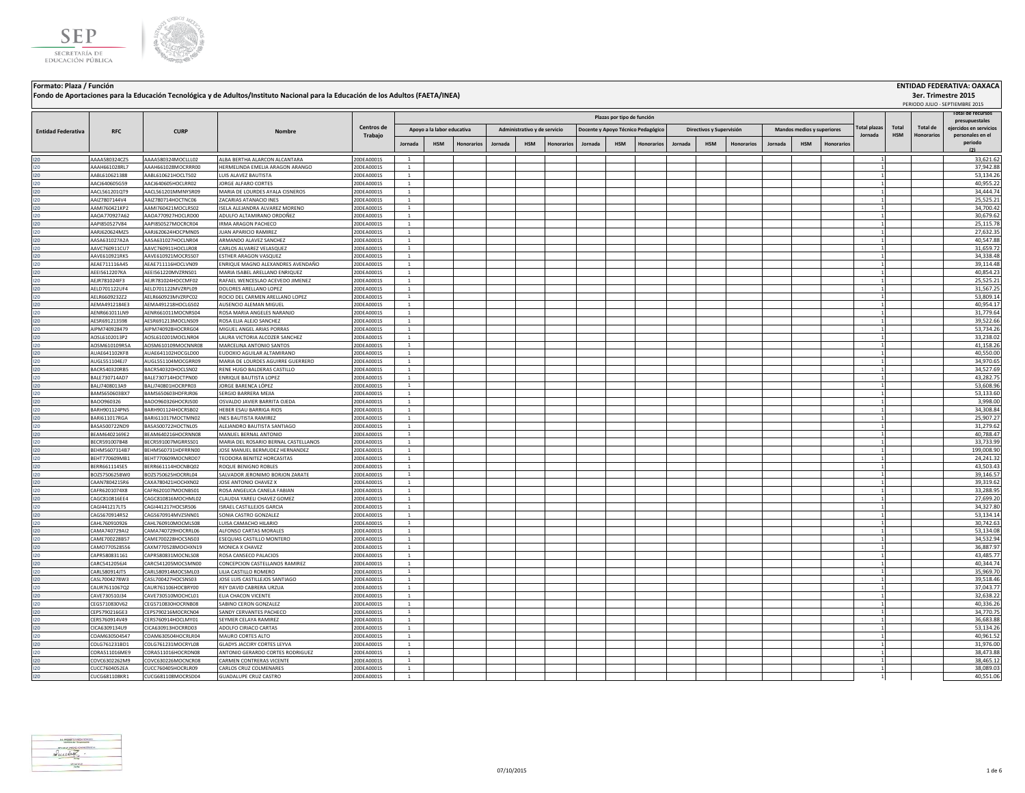



### **Fondo de Aportaciones para la Educación Tecnológica y de Adultos/Instituto Nacional para la Educación de los Adultos (FAETA/INEA)**

# **Formato: Plaza / Función ENTIDAD FEDERATIVA: OAXACA**

|                           |                                |                                          | Fondo de Aportaciones para la Educación Tecnológica y de Adultos/Instituto Nacional para la Educación de los Adultos (FAETA/INEA) |                          |                                  |                   |         |                              |            |         |                            |                                    |         |                          |                   |         |                            |                   |                                |                     |          | 3er. Trimestre 2015<br>PERIODO JULIO - SEPTIEMBRE 2015 |
|---------------------------|--------------------------------|------------------------------------------|-----------------------------------------------------------------------------------------------------------------------------------|--------------------------|----------------------------------|-------------------|---------|------------------------------|------------|---------|----------------------------|------------------------------------|---------|--------------------------|-------------------|---------|----------------------------|-------------------|--------------------------------|---------------------|----------|--------------------------------------------------------|
|                           |                                |                                          |                                                                                                                                   |                          |                                  |                   |         |                              |            |         | Plazas por tipo de función |                                    |         |                          |                   |         |                            |                   |                                |                     |          | otal de recursos<br>presupuestales                     |
| <b>Entidad Federativa</b> | <b>RFC</b>                     | <b>CURP</b>                              | Nombr                                                                                                                             | Centros de<br>Trabajo    | Apoyo a la labor educativa       |                   |         | Administrativo y de servicio |            |         |                            | Docente y Apoyo Técnico Pedagógico |         | Directivos y Supervisión |                   |         | Mandos medios y superiores |                   | <b>Total plazas</b><br>Jornada | Total<br><b>HSM</b> | Total de | eiercidos en servicios<br>personales en el             |
|                           |                                |                                          |                                                                                                                                   |                          | <b>HSM</b><br>Jornada            | <b>Honorarios</b> | Jornada | <b>HSM</b>                   | Honorarios | Jornada | <b>HSM</b>                 | <b>Honorarios</b>                  | Jornada | <b>HSM</b>               | <b>Honorarios</b> | Jornada | <b>HSM</b>                 | <b>Honorarios</b> |                                |                     |          | periodo<br>(2)                                         |
|                           | AAAA580324CZ5                  | AAAA580324MOCLLL02                       | ALBA BERTHA ALARCON ALCANTARA                                                                                                     | 20DEA0001S               | 1                                |                   |         |                              |            |         |                            |                                    |         |                          |                   |         |                            |                   |                                |                     |          | 33,621.62                                              |
| 120                       | AAAH661028RL7                  | AAAH661028MOCRRR00                       | HERMELINDA EMELIA ARAGON ARANGO                                                                                                   | 20DEA0001S               | <sup>1</sup>                     |                   |         |                              |            |         |                            |                                    |         |                          |                   |         |                            |                   |                                |                     |          | 37,942.88                                              |
| 120                       | AABL610621388                  | AABL610621HOCLTS02                       | UIS ALAVEZ BAUTISTA                                                                                                               | 20DEA0001S               | 1                                |                   |         |                              |            |         |                            |                                    |         |                          |                   |         |                            |                   |                                |                     |          | 53,134.26                                              |
| 120                       | AAC1640605G59                  | AACI640605HOCLBR02                       | <b>ORGE ALFARO CORTES</b>                                                                                                         | 20DEA0001S               | $\mathbf{1}$                     |                   |         |                              |            |         |                            |                                    |         |                          |                   |         |                            |                   |                                |                     |          | 40,955.22                                              |
| 120                       | AACL561201QT9                  | AACL561201MMNYSR09                       | MARIA DE LOURDES AYALA CISNEROS                                                                                                   | 20DEA0001S               | $\mathbf{1}$                     |                   |         |                              |            |         |                            |                                    |         |                          |                   |         |                            |                   |                                |                     |          | 34.444.74                                              |
|                           | AAIZ7807144V4                  | AAIZ780714HOCTNC06                       | ZACARIAS ATANACIO INES                                                                                                            | 20DEA0001S               | <sup>1</sup>                     |                   |         |                              |            |         |                            |                                    |         |                          |                   |         |                            |                   |                                |                     |          | 25,525.21                                              |
| 120                       | AAMI760421KP2                  | AAMI760421MOCLRS02                       | ISELA ALEJANDRA ALVAREZ MORENO                                                                                                    | 20DEA0001S               | $\mathbf{1}$                     |                   |         |                              |            |         |                            |                                    |         |                          |                   |         |                            |                   |                                |                     |          | 34,700.42                                              |
|                           | AAOA770927A62                  | AAOA770927HOCLRD00                       | ADULFO ALTAMIRANO ORDOÑEZ                                                                                                         | 20DEA0001S               | <sup>1</sup>                     |                   |         |                              |            |         |                            |                                    |         |                          |                   |         |                            |                   |                                |                     |          | 30,679.62                                              |
| 120<br>120                | AAPI850527V84<br>AARJ620624MZ5 | AAPI850527MOCRCR04<br>AARJ620624HOCPMN05 | IRMA ARAGON PACHECO<br>JUAN APARICIO RAMIREZ                                                                                      | 20DEA0001S<br>20DEA0001S | <sup>1</sup><br>$\overline{1}$   |                   |         |                              |            |         |                            |                                    |         |                          |                   |         |                            |                   |                                |                     |          | 25,115.78<br>27,632.35                                 |
| 120                       | AASA631027A2A                  | AASA631027HOCLNR04                       | ARMANDO ALAVEZ SANCHEZ                                                                                                            | 20DEA0001S               | $\overline{1}$                   |                   |         |                              |            |         |                            |                                    |         |                          |                   |         |                            |                   |                                |                     |          | 40,547.88                                              |
| 120                       | AAVC760911CU7                  | AAVC760911HOCLLR08                       | CARLOS ALVAREZ VELASQUEZ                                                                                                          | 20DEA0001S               | <sup>1</sup>                     |                   |         |                              |            |         |                            |                                    |         |                          |                   |         |                            |                   |                                |                     |          | 31,659.72                                              |
| 120                       | AAVE610921RK5                  | AAVE610921MOCRSS07                       | ESTHER ARAGON VASQUEZ                                                                                                             | 20DEA0001S               | $\overline{1}$                   |                   |         |                              |            |         |                            |                                    |         |                          |                   |         |                            |                   |                                |                     |          | 34,338.48                                              |
| 120                       | AEAE711116A45                  | AEAE711116HOCLVN09                       | ENRIQUE MAGNO ALEXANDRES AVENDAÑO                                                                                                 | 20DEA0001S               | $\overline{1}$                   |                   |         |                              |            |         |                            |                                    |         |                          |                   |         |                            |                   |                                |                     |          | 39,114.48                                              |
| 120                       | AEEI5612207KA                  | AEEI561220MVZRNS01                       | MARIA ISABEL ARELLANO ENRIQUEZ                                                                                                    | 20DEA0001S               | $\mathbf{1}$                     |                   |         |                              |            |         |                            |                                    |         |                          |                   |         |                            |                   |                                |                     |          | 40,854.23                                              |
| 120                       | AEJR781024IF3                  | AEJR781024HOCCMF02                       | RAFAEL WENCESLAO ACEVEDO JIMENEZ                                                                                                  | 20DEA0001S               | <sup>1</sup>                     |                   |         |                              |            |         |                            |                                    |         |                          |                   |         |                            |                   |                                |                     |          | 25,525.21                                              |
| 120                       | AELD701122UF4                  | AELD701122MVZRPL09                       | DOLORES ARELLANO LOPEZ                                                                                                            | 20DEA0001S               |                                  |                   |         |                              |            |         |                            |                                    |         |                          |                   |         |                            |                   |                                |                     |          | 31,567.25                                              |
|                           | AELR6609232Z2                  | AELR660923MVZRPC02                       | ROCIO DEL CARMEN ARELLANO LOPEZ                                                                                                   | 20DEA0001S               | $\mathbf{1}$                     |                   |         |                              |            |         |                            |                                    |         |                          |                   |         |                            |                   |                                |                     |          | 53,809.14                                              |
| 120                       | AEMA4912184E3                  | AEMA491218HOCLGS02                       | AUSENCIO ALEMAN MIGUEL                                                                                                            | ODEA0001S                | $\mathbf{1}$<br>$\,1\,$          |                   |         |                              |            |         |                            |                                    |         |                          |                   |         |                            |                   |                                |                     |          | 40,954.17                                              |
| 120<br>120                | AENR661011LN9<br>AESR691213598 | AENR661011MOCNRS04<br>AESR691213MOCLNS09 | ROSA MARIA ANGELES NARANJO<br>ROSA ELIA ALEJO SANCHEZ                                                                             | 20DEA0001S<br>20DEA0001S | <sup>1</sup>                     |                   |         |                              |            |         |                            |                                    |         |                          |                   |         |                            |                   |                                |                     |          | 31,779.64<br>39,522.66                                 |
|                           | AIPM740928479                  | AIPM740928HOCRRG04                       | MIGUEL ANGEL ARIAS PORRAS                                                                                                         | 20DEA0001S               | <sup>1</sup>                     |                   |         |                              |            |         |                            |                                    |         |                          |                   |         |                            |                   |                                |                     |          | 53,734.26                                              |
|                           | AOSL6102013P2                  | AOSL610201MOCLNR04                       | LAURA VICTORIA ALCOZER SANCHEZ                                                                                                    | 20DEA0001S               | $\mathbf{1}$                     |                   |         |                              |            |         |                            |                                    |         |                          |                   |         |                            |                   |                                |                     |          | 33,238.02                                              |
|                           | AOSM610109R5A                  | AOSM610109MOCNNR08                       | MARCELINA ANTONIO SANTOS                                                                                                          | 20DEA0001S               | $\mathbf{1}$                     |                   |         |                              |            |         |                            |                                    |         |                          |                   |         |                            |                   |                                |                     |          | 41,158.26                                              |
|                           | AUAE641102KF8                  | AUAE641102HOCGLD00                       | EUDOXIO AGUILAR ALTAMIRANO                                                                                                        | 20DEA0001S               | $\mathbf{1}$                     |                   |         |                              |            |         |                            |                                    |         |                          |                   |         |                            |                   |                                |                     |          | 40,550.00                                              |
|                           | AUGL551104EJ7                  | AUGL551104MOCGRR09                       | MARIA DE LOURDES AGUIRRE GUERRERO                                                                                                 | 20DEA0001S               | $\mathbf{1}$                     |                   |         |                              |            |         |                            |                                    |         |                          |                   |         |                            |                   |                                |                     |          | 34,970.65                                              |
|                           | BACR540320RB5                  | BACR540320HOCLSN02                       | RENE HUGO BALDERAS CASTILLO                                                                                                       | 20DEA0001S               | <sup>1</sup>                     |                   |         |                              |            |         |                            |                                    |         |                          |                   |         |                            |                   |                                |                     |          | 34,527.69                                              |
| 120                       | BALE730714AD7                  | BALE730714HOCTPN00                       | ENRIQUE BAUTISTA LOPEZ                                                                                                            | 20DEA0001S               | $\overline{1}$                   |                   |         |                              |            |         |                            |                                    |         |                          |                   |         |                            |                   |                                |                     |          | 43,282.75                                              |
| 120                       | BALJ7408013A9                  | BALJ740801HOCRPR03                       | JORGE BARENCA LÓPEZ                                                                                                               | 20DEA0001S               | $\mathbf{1}$                     |                   |         |                              |            |         |                            |                                    |         |                          |                   |         |                            |                   |                                |                     |          | 53,608.96                                              |
| 120                       | BAMS650603BX7                  | BAMS650603HDFRJR06                       | SERGIO BARRERA MEJIA                                                                                                              | 20DEA0001S               | $\mathbf{1}$<br><sup>1</sup>     |                   |         |                              |            |         |                            |                                    |         |                          |                   |         |                            |                   |                                |                     |          | 53,133.60                                              |
| 120<br>120                | BAO0960326<br>BARH901124PN5    | BAOO960326HOCRJS00<br>BARH901124HOCRSB02 | OSVALDO JAVIER BARRITA OJEDA<br>HEBER ESAU BARRIGA RIOS                                                                           | 20DEA0001S<br>20DEA0001S | $\overline{1}$                   |                   |         |                              |            |         |                            |                                    |         |                          |                   |         |                            |                   |                                |                     |          | 3,998.00<br>34,308.84                                  |
| 120                       | <b>BARI611017RGA</b>           | BARI611017MOCTMN02                       | INES BAUTISTA RAMIREZ                                                                                                             | 20DEA0001S               | $\mathbf{1}$                     |                   |         |                              |            |         |                            |                                    |         |                          |                   |         |                            |                   |                                |                     |          | 25,907.27                                              |
|                           | BASA500722ND9                  | BASA500722HOCTNL05                       | ALEJANDRO BAUTISTA SANTIAGO                                                                                                       | 20DEA0001S               | $\overline{1}$                   |                   |         |                              |            |         |                            |                                    |         |                          |                   |         |                            |                   |                                |                     |          | 31,279.62                                              |
| 120                       | BEAM6402169E2                  | BEAM640216HOCRNN08                       | MANUEL BERNAL ANTONIO                                                                                                             | 20DEA0001S               | <sup>1</sup>                     |                   |         |                              |            |         |                            |                                    |         |                          |                   |         |                            |                   |                                |                     |          | 40,788.47                                              |
| 120                       | BECR591007B48                  | BECR591007MGRRSS01                       | MARIA DEL ROSARIO BERNAL CASTELLANOS                                                                                              | 20DEA0001S               | <sup>1</sup>                     |                   |         |                              |            |         |                            |                                    |         |                          |                   |         |                            |                   |                                |                     |          | 33,733.99                                              |
| 120                       | BEHM5607314B7                  | BEHM560731HDFRRN00                       | JOSE MANUEL BERMUDEZ HERNANDEZ                                                                                                    | 20DEA0001S               | $\mathbf{1}$                     |                   |         |                              |            |         |                            |                                    |         |                          |                   |         |                            |                   |                                |                     |          | 199,008.90                                             |
| 120                       | BEHT770609MB1                  | BEHT770609MOCNRD07                       | <b>TEODORA BENITEZ HORCASITAS</b>                                                                                                 | 20DEA0001S               | $\mathbf{1}$                     |                   |         |                              |            |         |                            |                                    |         |                          |                   |         |                            |                   |                                |                     |          | 24,241.32                                              |
| 120                       | BERR661114SE5                  | BERR661114HOCNBQ02                       | ROQUE BENIGNO ROBLES                                                                                                              | 20DEA0001S               | -1                               |                   |         |                              |            |         |                            |                                    |         |                          |                   |         |                            |                   |                                |                     |          | 43,503.43                                              |
| 120                       | BOZS750625BW0<br>CAAN7804215R6 | BOZS750625HOCRRL04<br>CAXA780421HOCHXN02 | SALVADOR JERONIMO BORJON ZARATE<br><b>IOSE ANTONIO CHAVEZ X</b>                                                                   | 20DEA0001S<br>20DEA0001S | 1                                |                   |         |                              |            |         |                            |                                    |         |                          |                   |         |                            |                   |                                |                     |          | 39,146.57                                              |
| 120<br>120                | CAFR6201074X8                  | CAFR620107MOCNBS01                       | ROSA ANGELICA CANELA FABIAN                                                                                                       | 20DEA0001S               | <sup>1</sup><br><sup>1</sup>     |                   |         |                              |            |         |                            |                                    |         |                          |                   |         |                            |                   |                                |                     |          | 39,319.62<br>33,288.95                                 |
| 120                       | CAGC810816EE4                  | CAGC810816MOCHML02                       | CLAUDIA YARELI CHAVEZ GOMEZ                                                                                                       | 20DEA0001S               | $\mathbf{1}$                     |                   |         |                              |            |         |                            |                                    |         |                          |                   |         |                            |                   |                                |                     |          | 27,699.20                                              |
| 120                       | CAGI441217LT5                  | CAGI441217HOCSRS06                       | ISRAEL CASTILLEJOS GARCIA                                                                                                         | 20DEA0001S               | $\mathbf{1}$                     |                   |         |                              |            |         |                            |                                    |         |                          |                   |         |                            |                   |                                |                     |          | 34,327.80                                              |
| 120                       | CAGS670914R52                  | CAGS670914MVZSNN01                       | SONIA CASTRO GONZALEZ                                                                                                             | 20DEA0001S               | <sup>1</sup>                     |                   |         |                              |            |         |                            |                                    |         |                          |                   |         |                            |                   |                                |                     |          | 53,134.14                                              |
| 120                       | CAHL760910926                  | CAHL760910MOCMLS08                       | LUISA CAMACHO HILARIO                                                                                                             | 20DEA0001S               | <sup>1</sup>                     |                   |         |                              |            |         |                            |                                    |         |                          |                   |         |                            |                   |                                |                     |          | 30,742.63                                              |
| 120                       | CAMA740729AI2                  | CAMA740729HOCRRL06                       | ALFONSO CARTAS MORALES                                                                                                            | 20DEA0001S               | $\overline{1}$                   |                   |         |                              |            |         |                            |                                    |         |                          |                   |         |                            |                   |                                |                     |          | 53,134.08                                              |
| 120                       | CAME700228B57                  | CAME700228HOCSNS03                       | ESEQUIAS CASTILLO MONTERO                                                                                                         | 20DEA0001S               | <sup>1</sup>                     |                   |         |                              |            |         |                            |                                    |         |                          |                   |         |                            |                   |                                |                     |          | 34,532.94                                              |
| 120                       | CAMO770528556                  | CAXM770528MOCHXN19                       | MONICA X CHAVEZ                                                                                                                   | 20DEA0001S               | <sup>1</sup>                     |                   |         |                              |            |         |                            |                                    |         |                          |                   |         |                            |                   |                                |                     |          | 36,887.97                                              |
| 120                       | CAPR580831161                  | CAPR580831MOCNLS08                       | ROSA CANSECO PALACIOS                                                                                                             | 20DEA0001S               | $\overline{1}$<br>$\overline{1}$ |                   |         |                              |            |         |                            |                                    |         |                          |                   |         |                            |                   |                                |                     |          | 43,485.77                                              |
| 120<br>120                | CARC5412056J4<br>CARL580914JT5 | CARC541205MOCSMN00<br>CARL580914MOCSML03 | CONCEPCION CASTELLANOS RAMIREZ<br>LILIA CASTILLO ROMERC                                                                           | 20DEA0001S               | $\mathbf{1}$                     |                   |         |                              |            |         |                            |                                    |         |                          |                   |         |                            |                   |                                |                     |          | 40,344.74<br>35,969.70                                 |
| 120                       | CASL7004278W3                  | CASL700427HOCSNS03                       | JOSE LUIS CASTILLEJOS SANTIAGO                                                                                                    | 20DEA0001S<br>20DEA0001S | $\overline{1}$                   |                   |         |                              |            |         |                            |                                    |         |                          |                   |         |                            |                   |                                |                     |          | 39,518.46                                              |
| 120                       | CAUR7611067Q2                  | CAUR761106HOCBRY00                       | REY DAVID CABRERA URZUA                                                                                                           | 20DEA0001S               | <sup>1</sup>                     |                   |         |                              |            |         |                            |                                    |         |                          |                   |         |                            |                   |                                |                     |          | 37,043.77                                              |
| 120                       | CAVE730510J34                  | CAVE730510MOCHCL01                       | ELIA CHACON VICENTE                                                                                                               | 20DEA0001S               | $\mathbf{1}$                     |                   |         |                              |            |         |                            |                                    |         |                          |                   |         |                            |                   |                                |                     |          | 32,638.22                                              |
|                           | CEGS710830V62                  | CEGS710830HOCRNB08                       | SABINO CERON GONZALEZ                                                                                                             | 20DEA0001S               | $\mathbf{1}$                     |                   |         |                              |            |         |                            |                                    |         |                          |                   |         |                            |                   |                                |                     |          | 40,336.26                                              |
|                           | CEPS790216GE3                  | CEPS790216MOCRCN04                       | SANDY CERVANTES PACHECO                                                                                                           | 20DEA0001S               | $\mathbf{1}$                     |                   |         |                              |            |         |                            |                                    |         |                          |                   |         |                            |                   |                                |                     |          | 34,770.75                                              |
|                           | CERS760914V49                  | CERS760914HOCLMY01                       | SEYMER CELAYA RAMIREZ                                                                                                             | 20DEA0001S               | -1                               |                   |         |                              |            |         |                            |                                    |         |                          |                   |         |                            |                   |                                |                     |          | 36,683.88                                              |
|                           | CICA6309134U9                  | CICA630913HOCRRD03                       | ADOLFO CIRIACO CARTAS                                                                                                             | 20DEA0001S               | <sup>1</sup>                     |                   |         |                              |            |         |                            |                                    |         |                          |                   |         |                            |                   |                                |                     |          | 53,134.26                                              |
|                           | COAM630504S47                  | COAM630504HOCRLR04                       | MAURO CORTES ALTO                                                                                                                 | 20DEA0001S               | <sup>1</sup>                     |                   |         |                              |            |         |                            |                                    |         |                          |                   |         |                            |                   |                                |                     |          | 40,961.52                                              |
|                           | COLG761231BD1                  | COLG761231MOCRYL08                       | GLADYS JACCIRY CORTES LEYVA                                                                                                       | 20DEA0001S               | $\mathbf{1}$                     |                   |         |                              |            |         |                            |                                    |         |                          |                   |         |                            |                   |                                |                     |          | 31,976.00                                              |
| 120                       | CORA511016ME9<br>COVC6302262M9 | CORA511016HOCRDN08<br>COVC630226MOCNCR08 | ANTONIO GERARDO CORTES RODRIGUEZ<br>CARMEN CONTRERAS VICENTE                                                                      | 20DEA0001S<br>20DEA0001S | $\mathbf{1}$<br>$\mathbf{1}$     |                   |         |                              |            |         |                            |                                    |         |                          |                   |         |                            |                   |                                |                     |          | 38,473.88<br>38,465.12                                 |
|                           | CUCC7604052EA                  | CUCC760405HOCRLR09                       | CARLOS CRUZ COLMENARES                                                                                                            | 20DEA0001S               | <sup>1</sup>                     |                   |         |                              |            |         |                            |                                    |         |                          |                   |         |                            |                   |                                |                     |          | 38,089.03                                              |
| 120                       | CUCG681108KR1                  | CUCG681108MOCRSD04                       | <b>GUADALUPE CRUZ CASTRO</b>                                                                                                      | 20DEA0001S               | $\mathbf{1}$                     |                   |         |                              |            |         |                            |                                    |         |                          |                   |         |                            |                   |                                |                     |          | 40,551.06                                              |
|                           |                                |                                          |                                                                                                                                   |                          |                                  |                   |         |                              |            |         |                            |                                    |         |                          |                   |         |                            |                   |                                |                     |          |                                                        |

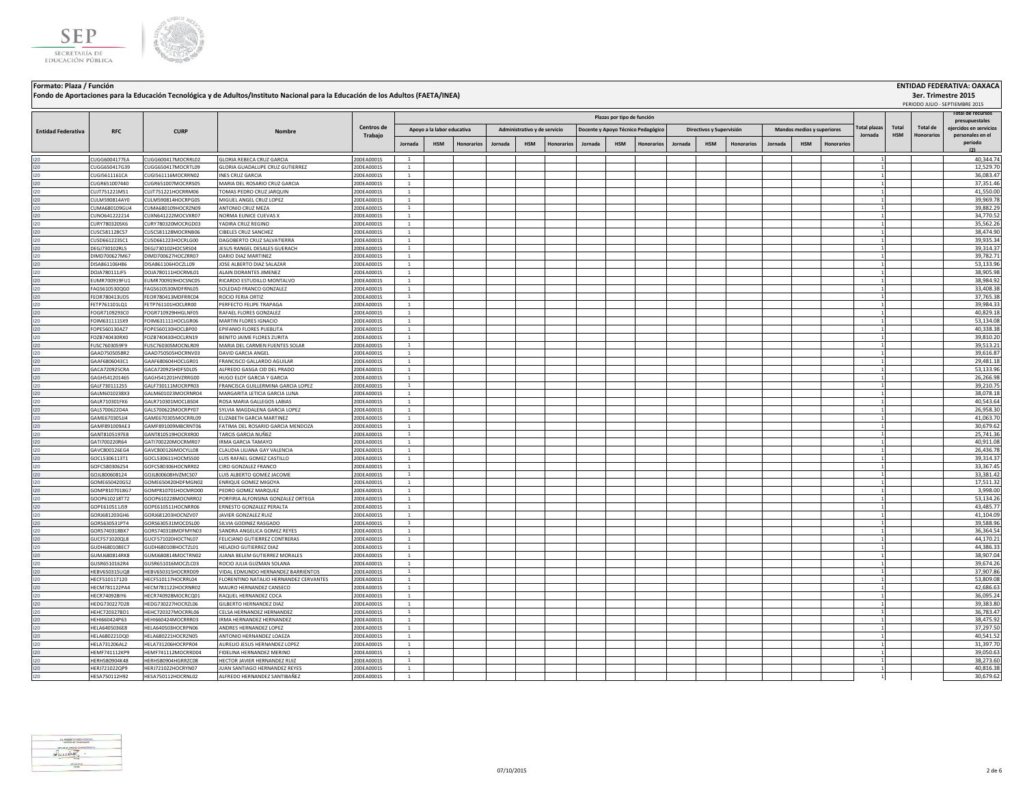



**Fondo de Aportaciones para la Educación Tecnológica y de Adultos/Instituto Nacional para la Educación de los Adultos (FAETA/INEA)**

### **Jornada HSM Honorarios Jornada HSM Honorarios Jornada HSM Honorarios Jornada HSM Honorarios Jornada HSM Honorarios Total HSM Total de Honorarios Administrativo y de servicio Docente y Apoyo Técnico Pedagógico Directivos y Supervisión Mandos medios y superiores Plazas por tipo de función Total plazas Jornada** PERIODO JULIO - SEPTIEMBRE 2015 **RFC CURP Nombre Entidad Federativa RFC CURP CURP CENTROS <b>CENTROS CONS Trabajo otal de recurso presupuestales ejercidos en servicios personales en el periodo (2) Apoyo a la labor educativa** I20 CUGG6004177EA CUGG600417MOCRRL02 GLORIA REBECA CRUZ GARCIA 20DEA0001S 1 1 40,344.74 I20 CUGG650417G39 CUGG650417MOCRTL09 GLORIA GUADALUPE CRUZ GUTIERREZ 20DEA0001S 1 1 12,529.70 I20 CUGI5611161CA CUGI561116MOCRRN02 INES CRUZ GARCIA 20DEA0001S 1 1 36,083.47 I20 CUGR651007440 CUGR651007MOCRRS05 MARIA DEL ROSARIO CRUZ GARCIA 20DEA0001S 1 1 37,351.46 I20 CUJT751221MS1 CUJT751221HOCRRM06 TOMAS PEDRO CRUZ JARQUIN 20DEA0001S 1 1 41,550.00 I20 CULM590814AY0 CULM590814HOCRPG05 MIGUEL ANGEL CRUZ LOPEZ 20DEA0001S 1 1 39,969.78 I20 CUMA680109GU4 CUMA680109HOCRZN09 ANTONIO CRUZ MEZA 20DEA0001S 1 1 39,882.29 I20 CUNO641222214 CUXN641222MOCVXR07 NORMA EUNICE CUEVAS X 20DEA0001S 1 1 34,770.52 I20 CURY780320SK6 CURY780320MOCRGD03 YADIRA CRUZ REGINO 20DEA0001S 1 1 35,562.26 I20 CUSC581128CS7 CUSC581128MOCRNB06 CIBELES CRUZ SANCHEZ 20DEA0001S 1 1 38,474.90 I20 CUSD661223SC1 CUSD661223HOCRLG00 DAGOBERTO CRUZ SALVATIERRA 20DEA0001S 1 1 39,935.34 I20 DEGJ730102RL5 DEGJ730102HOCSRS04 JESUS RANGEL DESALES GUERACH 20DEA0001S 1 1 39,314.37 I20 DIMD700627M67 DIMD700627HOCZRR07 DARIO DIAZ MARTINEZ 20DEA0001S 1 | | | | | | | | | | | | | | | | 1 | 1 I20 DISA861106H86 DISA861106HOCZLL09 JOSE ALBERTO DIAZ SALAZAR 20DEA0001S 1 1 53,133.96 I20 DOJA780111JF5 DOJA780111HOCRML01 ALAIN DORANTES JIMENEZ 20DEA0001S 1 1 38,905.98 I20 EUMR700919FU1 EUMR700919HOCSNC05 RICARDO&ESTUDILLO MONTALVO 20DEA0001S 1 | | | | | | | | | | | | | | | | 38,984.92 I20 PAGS610530QG0 FAGS610530MDFRNL05 SOLEDAD FRANCO GONZALEZ 20DEA0001S 1 2 33,408.38 20DEA0001S 20DEA0001S 20DEA0001S 20DEA0001S 20DEA0001S 20DEA00015 20DEA00015 20DEA00015 20DEA00015 20DEA00015 20DEA00016 20DEA00015 20DE I20 FEOR780413UD5 FEOR780413MDFRRC04 ROCIO FERIA ORTIZ 20DEA0001S 1 1 37,765.38 I20 PETP761101LQ1 FETP761101HOCLRR00 PERFECTO FELIPE TRAPAGA 200EA0001S 1 | | | | | | | | | | | | | | | | 39,984.33 I20 FOGR7109293C0 FOGR710929HHGLNF05 RAFAEL FLORES GONZALEZ 20DEA0001S 1 1 40,829.18 I20 FOIM631111SX9 FOIM631111HOCLGR06 |MARTINTEORES IGNACIO 20DEA0001S | 1 | | | | | | | | | | | | | | | | 53,134.08 I20 FOPE560130AZ7 FOPE560130HOCLBP00 [EPIFANIO FLORES PUEBLITA 20DEA0001S 1 | | | | | | | | | | | | | | | | | 40,338.38 I20 FOZB740430RX0 FOZB740430HOCLRN19 BENITOJAIME FLORES ZURITA 20DEA0001S 1 1 1 1 3 39,810.20 I20 FUSC7603059F9 FUSC760305MOCNLR09 MARIA DEL CARMEN FUENTES SOLAR 20DEA0001S 1 1 39,513.21 I20 GAAD7505058R2 GAAD750505HOCRNV03 DAVID GARCIA ANGEL 20DEA0001S 1 | | | | | | | | | | | | | | | | | 1 | 39,616.87 I20 GAAF6806043C1 GAAF680604HOCLGR01 FRANCISCO GALLARDO AGUILAR 20.0EA0001S 1 1 1 1 200 2005 1 2 29,481.18 I20 GACA720925CRA GACA720925HDFSDL05 ALFREDO GASGA CID DEL PRADO 20DEA0001S 1 1 53,133.96 I20 GAGH541201465 GAGH541201HVZRRG00 HUGO ELOY GARCIA SARCIA 20DEA0001S 1 | | | | | | | | | | | | | | | | | 26,266.98 I20 GALF7301112S5 GALF730111MOCRPR03 FRANCISCA GUILLERMINA GARCIA LOPEZ 20DEA0001S 1 1 1 3 39,210.75 I20 GALM6010238X3 GALM601023MOCRNR04 MARGARITALETICIA GARCIA LUNA 20DEA0001S 1 | | | | | | | | | | | | | | | | | 38,078.18 I20 GALR710301FK6 GALR710301MOCLBS04 ROSA MARIA GALLEGOS LABIAS 20DEA0001S 1 1 40,543.64 I20 GALS700622D4A GALS700622MOCRPY07 SYLVIA MAGDALENA GARCIA LOPEZ 20DEA0001S 1 1 26,958.30 I20 GAME670305JJ4 GAME670305MOCRRL09 ELIZABETH GARCIA MARTINEZ 20DEA0001S 1 1 41,063.70 I20 GAMF891009AE3 GAMF891009MBCRNT06 FATIMA DEL ROSARIO GARCIA MENDOZA 20DEA0001S 1 1 30,679.62 I20 GANT8105197E8 GANT810519HOCRXR00 TARCIS GARCIA NUÑEZ 20DEA0001S 1 1 25,741.36 I20 GATI700220R64 GATI700220MOCRMR07 IRMA GARCIA TAMAYO 20DEA0001S 1 1 40,911.08 I20 GAVC800126EG4 GAVC800126MOCYLL08 CLAUDIA.LILIANA GAY VALENCIA 20DEA0001S 1 1 1 2 20 20 20 20 20 20 20 20 2 I20 GOCL5306113T1 GOCL530611HOCMSS00 LUIS RAFAEL GOMEZ CASTILLO 20DEA0001S 1 1 1 1 1 1 1 1 1 1 1 39,314.37 I20 GOFC5803062S4 GOFC580306HOCNRR02 CIRO GONZALEZ FRANCO 20DEA0001S 1 20DEA0001S 1 20 20DEA0001S 20DEA0001S 20DEA0001S 20DEA0001S 20DEA00015 20DEA00015 20DEA00015 20DEA00015 20DEA00015 20DEA00015 20DEA00015 20DEA00015 20D I20 GOJL800608124 GOJL800608HVZMCS07 LUIS ALBERTO GOMEZ JACOME 20DEA0001S 1 1 33,381.42 I20 GOME650420G52 GOME650420HDFMGN02 ENRIQUE GOMEZ MIGOYA 20DEA0001S 1 1 17,511.32 I20 GOMP8107018G7 GOMP810701HOCMRD00 PEDRO GOMEZ MARQUEZ 20DEA0001S 1 | | | | | | | | | | | | | | | | 1 | 3,998.00 I20 GOOP610218T72 GOOP610228MOCNRR02 PORFIRIA ALFONSINA GONZALEZ ORTEGA 20DEA0001S 1 1 53,134.26 I20 GOPE610511J59 GOPE610511HOCNRR06 [ERNESTO GONZALEZ PERALTA 20DEA0001S ] 20DEA0001S 1 2 2 20DEA0001S 20DEA00015 20DEA00015 20DEA00015 20DEA00015 20DEA00015 20DEA00015 20DEA00015 20DEA00015 20DEA00015 20DEA00015 20DEA000 I20 GORJ681203GH6 GORJ681203HOCNZV07 JAVIER GONZALEZ RUIZ 20DEA0001S 1 1 41,104.09 I20 GORS630531PT4 GORS630531MOCDSL00 SILVIA GODINEZ RASGADO 20DEA0001S 1 1 39,588.96 I20 GORS740318BX7 GORS740318MDFMYN03 SANDRA ANGELICA GOMEZ REYES 20DEA0001S 1 1 36,364.54 I20 GUCF571020QL8 GUCF571020HOCTNL07 FELICIANO.GUTIERREZ.CONTRERAS 20DEA0001S 1 1 1 1 1 1 1 44,170.21 I20 GUDH680108EC7 GUDH680108HOCTZL01 HELADIO GUTIERREZ DIAZ 20DEA0001S 1 1 44,386.33 I20 GUMJ680814RK8 GUMJ680814MOCTRN02 JUANA BELEM GUTIERREZ MORALES 20DEA0001S 1 1 38,907.04 I20 GUSR6510162R4 GUSR651016MOCZLC03 ROCIO JULIA GUZMAN SOLANA 20DEA0001S 1 1 1 3 39,674.26 I20 HEBV650315UQ8 HEBV650315HOCRRD09 VIDAL EDMUNDO HERNANDEZ BARRIENTOS 20DEA0001S 1 1 37,907.86 I20 HECF510117120 HECF510117HOCRRL04 FLORENTINO NATALIO HERNANDEZ CERVANTES 20DEA0001S 1 1 53,809.08 I20 HECM781122PA4 HECM781122HOCRNR02 MAURO HERNANDEZ CANSECO 20DEA0001S 1 1 42,686.63 I20 HECR740928IY6 HECR740928MOCRCQ01 RAQUELHERNANDEZ COCA 20DEA0001S 1 2 36,095.24 20DEA0001S 20DEA0001S 1 3 36,095.24 I20 HEDG730227D28 HEDG730227HOCRZL06 GILBERTO HERNANDEZ DIAZ 20DEA0001S 1 1 39,383.80 I20 HEHC720327BD1 HEHC720327MOCRRL06 CELSA HERNANDEZ 2DDEA0001S 1 | | | | | | | | | | | | | | 1 | 1 I20 HEHI660424P63 HEHI660424MOCRRR03 |IRMA HERNANDEZ | 20DEA0001S | 1 | | | | | | | | | | | | | | | | 38,475.92 I20 HELA6405036E8 HELA640503HOCRPN06 ANDRES HERNANDEZ LOPEZ 20DEA0001S 1 1 37,297.50 I20 HELA680221DQ0 HELA680221HOCRZN05 ANTONIO HERNANDEZ LOAEZA 20DEA0001S 1 1 40,541.52 I20 HELA731206AL2 HELA731206HOCRPR04 AURELIO.IESUS HERNANDEZ LOPEZ 20DEA0001S 1 | | | | | | | | | | | | | | | | | 31,397.70 I20 HEMF741112KP9 HEMF741112MOCRRD04 FIDELINA HERNANDEZ MERINO 20DEA0001S 1 1 39,050.63 I20 HERH580904K48 HERH580904K48 HERH580904KGRRZC08 HECTOR JAVIER HERNANDEZ RUIZ 20DEA0001S 1 1 1 38,273.60 HER I20 HERJ721022QP9 HERJ721022HOCRYN07 JUAN SANTIAGO HERNANDEZ REYES 20DEA0001S 1 1 40,816.38 I20 HESA750112H92 HESA750112HOCRNL02 ALFREDO HERNANDEZ SANTIBAÑEZ 20DEA0001S 1 1 30,679.62



**3er. Trimestre 2015**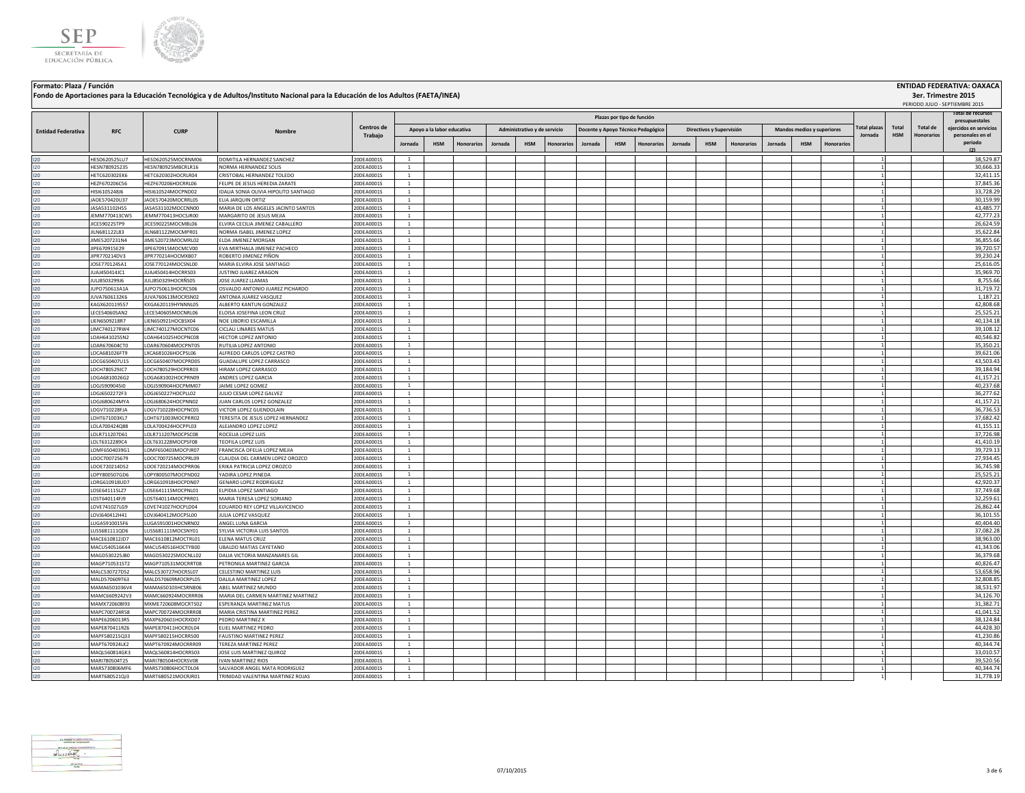



**Fondo de Aportaciones para la Educación Tecnológica y de Adultos/Instituto Nacional para la Educación de los Adultos (FAETA/INEA)**

## **Formato: Plaza / Función ENTIDAD FEDERATIVA: OAXACA 3er. Trimestre 2015** .<br>DO JULIO - SEPTIEMBRE

|                           |                                |                                          |                                                                    |                          | Plazas por tipo de función     |                            |            |         |                              |            |         |            |                                    |         |                          |                   |         |                            |                  |                     |            | otal de recurso:  |                                          |
|---------------------------|--------------------------------|------------------------------------------|--------------------------------------------------------------------|--------------------------|--------------------------------|----------------------------|------------|---------|------------------------------|------------|---------|------------|------------------------------------|---------|--------------------------|-------------------|---------|----------------------------|------------------|---------------------|------------|-------------------|------------------------------------------|
|                           |                                |                                          |                                                                    | Centros de               |                                | Apoyo a la labor educativa |            |         | Administrativo y de servicio |            |         |            |                                    |         | Directivos y Supervisión |                   |         | Mandos medios y superiores |                  | <b>Total plazas</b> | Total      | Total de          | presupuestales<br>ejercidos en servicios |
| <b>Entidad Federativa</b> | <b>RFC</b>                     | <b>CURP</b>                              | Nombre                                                             | Trabajo                  |                                |                            |            |         |                              |            |         |            | Docente y Apoyo Técnico Pedagógico |         |                          |                   |         |                            |                  | Jornada             | <b>HSM</b> | <b>Honorarios</b> | personales en el                         |
|                           |                                |                                          |                                                                    |                          | Jornada                        | <b>HSM</b>                 | Honorarios | Jornada | <b>HSM</b>                   | Honorarios | Jornada | <b>HSM</b> | <b>Honorarios</b>                  | Jornada | <b>HSM</b>               | <b>Honorarios</b> | Jornada | <b>HSM</b>                 | <b>Honorario</b> |                     |            |                   | periodo<br>(2)                           |
| 120                       | HESD620525LU7                  | HESD620525MOCRNM06                       | DOMITILA HERNANDEZ SANCHEZ                                         | 20DEA0001S               | $\mathbf{1}$                   |                            |            |         |                              |            |         |            |                                    |         |                          |                   |         |                            |                  |                     |            |                   | 38,529.87                                |
| 120                       | ESN780925235                   | HESN780925MBCRLR16                       | <b>VORMA HERNANDEZ SOLIS</b>                                       | 20DEA0001S               |                                |                            |            |         |                              |            |         |            |                                    |         |                          |                   |         |                            |                  |                     |            |                   | 30,666.33                                |
| 120                       | HFTC620302FK6                  | HETC620302HOCRLR04                       | CRISTORAL HERNANDEZ TOLEDO                                         | 20DEA0001S               | <sup>1</sup>                   |                            |            |         |                              |            |         |            |                                    |         |                          |                   |         |                            |                  |                     |            |                   | 32,411.15                                |
| 120                       | HEZF670206C56                  | HEZF670206HOCRRL06                       | FELIPE DE JESUS HEREDIA ZARATE                                     | 20DEA0001S               | <sup>1</sup>                   |                            |            |         |                              |            |         |            |                                    |         |                          |                   |         |                            |                  |                     |            |                   | 37,845.36                                |
| 120<br>120                | HISI6105248J6<br>AOE570420U37  | HISI610524MOCPND02<br>JAOE570420MOCRRL05 | IDALIA SONIA OLIVIA HIPOLITO SANTIAGO<br>ELIA JARQUIN ORTIZ        | 20DEA0001S<br>20DEA0001S | $\mathbf{1}$<br><sup>1</sup>   |                            |            |         |                              |            |         |            |                                    |         |                          |                   |         |                            |                  |                     |            |                   | 33,728.29<br>30,159.99                   |
| 120                       | ASA531102HS5                   | ASA531102MOCCNN00                        | MARIA DE LOS ANGELES JACINTO SANTOS                                | 20DEA0001S               | $\overline{1}$                 |                            |            |         |                              |            |         |            |                                    |         |                          |                   |         |                            |                  |                     |            |                   | 43,485.77                                |
| 120                       | JEMM770413CW5                  | JEMM770413HOCSJR00                       | MARGARITO DE IESUS MEIIA                                           | 20DEA0001S               | $\overline{1}$                 |                            |            |         |                              |            |         |            |                                    |         |                          |                   |         |                            |                  |                     |            |                   | 42,777.23                                |
| 120                       | <b>IICE590225TP9</b>           | ICE590225MOCMBL06                        | ELVIRA CECILIA JIMENEZ CABALLERO                                   | 20DEA0001S               | $\overline{1}$                 |                            |            |         |                              |            |         |            |                                    |         |                          |                   |         |                            |                  |                     |            |                   | 26,624.59                                |
| 120                       | JILN681122L83                  | JILN681122MOCMPR01                       | NORMA ISABEL JIMENEZ LOPEZ                                         | 20DEA0001S               | $\mathbf{1}$                   |                            |            |         |                              |            |         |            |                                    |         |                          |                   |         |                            |                  |                     |            |                   | 35,622.84                                |
| 120                       | JIME5207231N4                  | JIME520723MOCMRL02                       | ELDA JIMENEZ MORGAN                                                | 20DEA0001S               | $\mathbf{1}$                   |                            |            |         |                              |            |         |            |                                    |         |                          |                   |         |                            |                  |                     |            |                   | 36,855.66                                |
| 120                       | JIPE670915E29                  | JIPE670915MOCMCV00                       | EVA MIRTHALA JIMENEZ PACHECO                                       | 20DEA0001S               | <sup>1</sup>                   |                            |            |         |                              |            |         |            |                                    |         |                          |                   |         |                            |                  |                     |            |                   | 39.720.57                                |
| 120                       | JIPR770214DV3                  | IIPR770214HOCMXB07                       | ROBERTO IIMENEZ PIÑON                                              | 20DEA0001S               | $\overline{1}$                 |                            |            |         |                              |            |         |            |                                    |         |                          |                   |         |                            |                  |                     |            |                   | 39.230.24                                |
| 120<br>120                | JOSE770124SA1<br>JUAJ450414JC1 | JOSE770124MOCSNL00<br>JUAJ450414HOCRRS03 | MARIA ELVIRA JOSE SANTIAGO<br><b>JUSTINO JUAREZ ARAGON</b>         | 20DEA0001S<br>20DEA0001S | <sup>1</sup><br><sup>1</sup>   |                            |            |         |                              |            |         |            |                                    |         |                          |                   |         |                            |                  |                     |            |                   | 25,616.05<br>35,969.70                   |
| 120                       | JULJ8503299J6                  | JULJ850329HOCRÑS05                       | JOSE JUAREZ LLAMAS                                                 | 20DEA0001S               | <sup>1</sup>                   |                            |            |         |                              |            |         |            |                                    |         |                          |                   |         |                            |                  |                     |            |                   | 8,755.66                                 |
| 120                       | JUPO750613A1A                  | JUPO750613HOCRCS06                       | OSVALDO ANTONIO JUAREZ PICHARDO                                    | 20DEA0001S               | $\mathbf{1}$                   |                            |            |         |                              |            |         |            |                                    |         |                          |                   |         |                            |                  |                     |            |                   | 31,719.72                                |
| 120                       | JUVA7606132K6                  | IUVA760613MOCRSN02                       | ANTONIA JUAREZ VASQUEZ                                             | 20DEA0001S               | $\overline{1}$                 |                            |            |         |                              |            |         |            |                                    |         |                          |                   |         |                            |                  |                     |            |                   | 1.187.21                                 |
| 120                       | KAGX620119557                  | KXGA620119HYNNNL05                       | ALBERTO KANTUN GONZALEZ                                            | 20DEA0001S               | $\overline{1}$                 |                            |            |         |                              |            |         |            |                                    |         |                          |                   |         |                            |                  |                     |            |                   | 42,808.68                                |
| 120                       | ECE540605AN2                   | LECE540605MOCNRL06                       | ELOISA JOSEFINA LEON CRUZ                                          | 20DEA0001S               | $\overline{1}$                 |                            |            |         |                              |            |         |            |                                    |         |                          |                   |         |                            |                  |                     |            |                   | 25,525.21                                |
| 120                       | IEN6509218R7                   | IEN650921HOCBSX04                        | NOE LIBORIO ESCAMILLA                                              | 20DEA0001S               | <sup>1</sup>                   |                            |            |         |                              |            |         |            |                                    |         |                          |                   |         |                            |                  |                     |            |                   | 40,134.18                                |
| 120                       | IMC740127RW4                   | LIMC740127MOCNTC06                       | CICLALI LINARES MATUS                                              | 20DEA0001S               | -1                             |                            |            |         |                              |            |         |            |                                    |         |                          |                   |         |                            |                  |                     |            |                   | 39,108.12                                |
| 120<br>120                | OAH641025SN2<br>OAR670604CT0   | LOAH641025HOCPNC08<br>LOAR670604MOCPNT05 | <b>HECTOR LOPEZ ANTONIO</b><br>RUTILIA LOPEZ ANTONIO               | 20DEA0001S<br>20DEA0001S | <sup>1</sup><br><sup>1</sup>   |                            |            |         |                              |            |         |            |                                    |         |                          |                   |         |                            |                  |                     |            |                   | 40,546.82<br>35,350.21                   |
| 120                       | LOCA681026FT9                  | LXCA681026HOCPSL06                       | ALFREDO CARLOS LOPEZ CASTRO                                        | 20DEA0001S               | <sup>1</sup>                   |                            |            |         |                              |            |         |            |                                    |         |                          |                   |         |                            |                  |                     |            |                   | 39,621.06                                |
| 120                       | LOCG650407U15                  | LOCG650407MOCPRD05                       | GUADALUPE LOPEZ CARRASCO                                           | 20DEA0001S               | <sup>1</sup>                   |                            |            |         |                              |            |         |            |                                    |         |                          |                   |         |                            |                  |                     |            |                   | 43,503.43                                |
| 120                       | LOCH780529JC7                  | OCH780529HOCPRR03                        | HIRAM LOPEZ CARRASCO                                               | 20DEA0001S               | $\mathbf{1}$                   |                            |            |         |                              |            |         |            |                                    |         |                          |                   |         |                            |                  |                     |            |                   | 39,184.94                                |
| 120                       | OGA6810026G2                   | OGA681002HOCPRN09                        | ANDRES LOPEZ GARCIA                                                | 20DEA0001S               | $\mathbf{1}$                   |                            |            |         |                              |            |         |            |                                    |         |                          |                   |         |                            |                  |                     |            |                   | 41,157.21                                |
| 120                       | OGJ5909045I0                   | LOGJ590904HOCPMM07                       | JAIME LOPEZ GOMEZ                                                  | 20DEA0001S               | $\overline{1}$                 |                            |            |         |                              |            |         |            |                                    |         |                          |                   |         |                            |                  |                     |            |                   | 40,237.68                                |
| 120                       | LOGJ6502272F3                  | LOGJ650227HOCPLL02                       | JULIO CESAR LOPEZ GALVEZ                                           | 20DEA0001S               | $\mathbf{1}$                   |                            |            |         |                              |            |         |            |                                    |         |                          |                   |         |                            |                  |                     |            |                   | 36,277.62                                |
| 120                       | OGJ680624MYA                   | LOGJ680624HOCPNN02                       | UAN CARLOS LOPEZ GONZALEZ                                          | 20DEA0001S               | $\overline{1}$                 |                            |            |         |                              |            |         |            |                                    |         |                          |                   |         |                            |                  |                     |            |                   | 41,157.21                                |
| 120<br>120                | OGV710228FJA<br>OHT671003KL7   | OGV710228HOCPNC05<br>LOHT671003MOCPRR02  | <b>ICTOR LOPEZ GUENDOLAIN</b><br>TERESITA DE JESUS LOPEZ HERNANDEZ | 20DEA0001S<br>20DEA0001S | <sup>1</sup><br><sup>1</sup>   |                            |            |         |                              |            |         |            |                                    |         |                          |                   |         |                            |                  |                     |            |                   | 36,736.53<br>37,682.42                   |
| 120                       | OLA700424Q88                   | LOLA700424HOCPPL03                       | ALEJANDRO LOPEZ LOPEZ                                              | 20DEA0001S               | <sup>1</sup>                   |                            |            |         |                              |            |         |            |                                    |         |                          |                   |         |                            |                  |                     |            |                   | 41,155.11                                |
| 120                       | LOLR711207D61                  | LOLR711207MOCPSC08                       | ROCELIA LOPEZ LUIS                                                 | 20DEA0001S               | <sup>1</sup>                   |                            |            |         |                              |            |         |            |                                    |         |                          |                   |         |                            |                  |                     |            |                   | 37,726.98                                |
| 120                       | LOLT6312289C4                  | LOLT631228MOCPSF08                       | TEOFILA LOPEZ LUIS                                                 | 20DEA0001S               | $\overline{1}$                 |                            |            |         |                              |            |         |            |                                    |         |                          |                   |         |                            |                  |                     |            |                   | 41,410.19                                |
| 120                       | OME6504039G1                   | LOMF650403MOCPJR07                       | <b>FRANCISCA OFFIJA LOPEZ MEJIA</b>                                | 20DEA0001S               | $\overline{1}$                 |                            |            |         |                              |            |         |            |                                    |         |                          |                   |         |                            |                  |                     |            |                   | 39,729.13                                |
| 120                       | LOOC700725679                  | LOOC700725MOCPRL09                       | CLAUDIA DEL CARMEN LOPEZ OROZCO                                    | 20DEA0001S               | $\overline{1}$                 |                            |            |         |                              |            |         |            |                                    |         |                          |                   |         |                            |                  |                     |            |                   | 27,934.45                                |
| 120                       | OOE720214DS2                   | LOOE720214MOCPRR06                       | ERIKA PATRICIA LOPEZ OROZCO                                        | 20DEA0001S               | $\overline{1}$                 |                            |            |         |                              |            |         |            |                                    |         |                          |                   |         |                            |                  |                     |            |                   | 36,745.98                                |
| 120                       | OPY800507GD6                   | LOPY800507MOCPND02                       | ADIRA LOPEZ PINEDA                                                 | 20DEA0001S               | <sup>1</sup>                   |                            |            |         |                              |            |         |            |                                    |         |                          |                   |         |                            |                  |                     |            |                   | 25,525.21                                |
| 120                       | ORG610918UD7                   | ORG610918HOCPDN07<br>LOSE641115MOCPNL01  | <b>SENARO LOPEZ RODRIGUEZ</b><br>LPIDIA LOPEZ SANTIAGO             | 20DEA0001S<br>20DEA0001S | $\mathbf{1}$                   |                            |            |         |                              |            |         |            |                                    |         |                          |                   |         |                            |                  |                     |            |                   | 42,920.37<br>37.749.68                   |
| 120<br>120                | OSE641115LZ7<br>OST640114FJ9   | LOST640114MOCPRR01                       | MARIA TERESA LOPEZ SORIANO                                         | 20DEA0001S               | $\overline{1}$<br><sup>1</sup> |                            |            |         |                              |            |         |            |                                    |         |                          |                   |         |                            |                  |                     |            |                   | 32,259.61                                |
| 120                       | OVE741027LG9                   | LOVE741027HOCPLD04                       | EDUARDO REY LOPEZ VILLAVICENCIO                                    | 20DEA0001S               | $\mathbf{1}$                   |                            |            |         |                              |            |         |            |                                    |         |                          |                   |         |                            |                  |                     |            |                   | 26,862.44                                |
| 120                       | LOVJ640412H41                  | LOVJ640412MOCPSL00                       | JULIA LOPEZ VASQUEZ                                                | 20DEA0001S               | <sup>1</sup>                   |                            |            |         |                              |            |         |            |                                    |         |                          |                   |         |                            |                  |                     |            |                   | 36,101.55                                |
| 120                       | UGA5910015F6                   | LUGA591001HOCNRN02                       | ANGEL LUNA GARCIA                                                  | 20DEA0001S               | <sup>1</sup>                   |                            |            |         |                              |            |         |            |                                    |         |                          |                   |         |                            |                  |                     |            |                   | 40,404.40                                |
| 120                       | USS681111QD6                   | LUSS681111MOCSNY01                       | SYLVIA VICTORIA LUIS SANTOS                                        | 20DEA0001S               | $\mathbf{1}$                   |                            |            |         |                              |            |         |            |                                    |         |                          |                   |         |                            |                  |                     |            |                   | 37,082.28                                |
| 120                       | MACE610812JD7                  | MACE610812MOCTRL01                       | ELENA MATUS CRUZ                                                   | 20DEA0001S               | $\overline{1}$                 |                            |            |         |                              |            |         |            |                                    |         |                          |                   |         |                            |                  |                     |            |                   | 38,963.00                                |
| 120                       | MACU540516K44                  | MACU540516HOCTYB00                       | <b>UBALDO MATIAS CAYETANO</b>                                      | 20DEA0001S               | $\overline{1}$                 |                            |            |         |                              |            |         |            |                                    |         |                          |                   |         |                            |                  |                     |            |                   | 41,343.06                                |
| 120                       | MAGD530225JB0                  | MAGD530225MOCNLL02                       | DALIA VICTORIA MANZANARES GIL                                      | 20DEA0001S               | $\mathbf{1}$<br>$\mathbf{1}$   |                            |            |         |                              |            |         |            |                                    |         |                          |                   |         |                            |                  |                     |            |                   | 36,379.68                                |
| 120<br>120                | MAGP710531ST2<br>MALC530727D52 | MAGP710531MOCRRT08<br>MALC530727HOCRSL07 | PETRONILA MARTINEZ GARCIA<br>CELESTINO MARTINEZ LUIS               | 20DEA0001S<br>20DEA0001S | 1                              |                            |            |         |                              |            |         |            |                                    |         |                          |                   |         |                            |                  |                     |            |                   | 40,826.47<br>53,658.96                   |
| 120                       | MALD570609T63                  | MALD570609MOCRPL05                       | DALILA MARTINEZ LOPEZ                                              | 20DEA0001S               | <sup>1</sup>                   |                            |            |         |                              |            |         |            |                                    |         |                          |                   |         |                            |                  |                     |            |                   | 32,808.85                                |
| 120                       | MAMA6501036V4                  | MAMA650103HCSRNB06                       | ABEL MARTINEZ MUNDO                                                | 20DEA0001S               | <sup>1</sup>                   |                            |            |         |                              |            |         |            |                                    |         |                          |                   |         |                            |                  |                     |            |                   | 38,531.97                                |
| 120                       | MAMC6609242V3                  | MAMC660924MOCRRR06                       | MARIA DEL CARMEN MARTINEZ MARTINEZ                                 | 20DEA0001S               | <sup>1</sup>                   |                            |            |         |                              |            |         |            |                                    |         |                          |                   |         |                            |                  |                     |            |                   | 34,126.70                                |
| 120                       | MAMX720608I93                  | MXME720608MOCRTS02                       | ESPERANZA MARTINEZ MATUS                                           | 20DEA0001S               | $\overline{1}$                 |                            |            |         |                              |            |         |            |                                    |         |                          |                   |         |                            |                  |                     |            |                   | 31,382.71                                |
| 120                       | MAPC700724R58                  | MAPC700724MOCRRR08                       | MARIA CRISTINA MARTINEZ PEREZ                                      | 20DEA0001S               | <sup>1</sup>                   |                            |            |         |                              |            |         |            |                                    |         |                          |                   |         |                            |                  |                     |            |                   | 41,041.52                                |
| 120                       | MAPE6206013R5                  | MAXP620601HOCRXD07                       | PEDRO MARTINEZ X                                                   | 20DEA0001S               | $\overline{1}$                 |                            |            |         |                              |            |         |            |                                    |         |                          |                   |         |                            |                  |                     |            |                   | 38,124.84                                |
| 120                       | MAPE870411RZ6                  | MAPE870411HOCRDL04                       | ELIEL MARTINEZ PEDRO                                               | 20DEA0001S               | <sup>1</sup>                   |                            |            |         |                              |            |         |            |                                    |         |                          |                   |         |                            |                  |                     |            |                   | 44,428.30                                |
| 120<br>120                | MAPF580215Q33<br>MAPT670924LK2 | MAPF580215HOCRRS00<br>MAPT670924MOCRRR09 | FAUSTINO MARTINEZ PEREZ<br><b>FEREZA MARTINEZ PEREZ</b>            | 20DEA0001S<br>20DEA0001S | $\mathbf{1}$<br>$\mathbf{1}$   |                            |            |         |                              |            |         |            |                                    |         |                          |                   |         |                            |                  |                     |            |                   | 41,230.86<br>40,344.74                   |
| 120                       | <b>MAOI 560814GK3</b>          | MAOI 560814HOCRRS03                      | IOSE LUIS MARTINEZ OUIROZ                                          | 20DEA0001S               | <sup>1</sup>                   |                            |            |         |                              |            |         |            |                                    |         |                          |                   |         |                            |                  |                     |            |                   | 33,010.57                                |
| 120                       | MARI780504T25                  | MARI780504HOCRSV08                       | <b>VAN MARTINEZ RIOS</b>                                           | 20DEA0001S               | <sup>1</sup>                   |                            |            |         |                              |            |         |            |                                    |         |                          |                   |         |                            |                  |                     |            |                   | 39,520.56                                |
| 120                       | MARS730806MF6                  | MARS730806HOCTDL04                       | SALVADOR ANGEL MATA RODRIGUEZ                                      | 20DEA0001S               | <sup>1</sup>                   |                            |            |         |                              |            |         |            |                                    |         |                          |                   |         |                            |                  |                     |            |                   | 40,344.74                                |
| 120                       | MART680521QJ3                  | MART680521MOCRJR01                       | TRINIDAD VALENTINA MARTINEZ ROJAS                                  | 20DEA0001S               | <sup>1</sup>                   |                            |            |         |                              |            |         |            |                                    |         |                          |                   |         |                            |                  |                     |            |                   | 31,778.19                                |

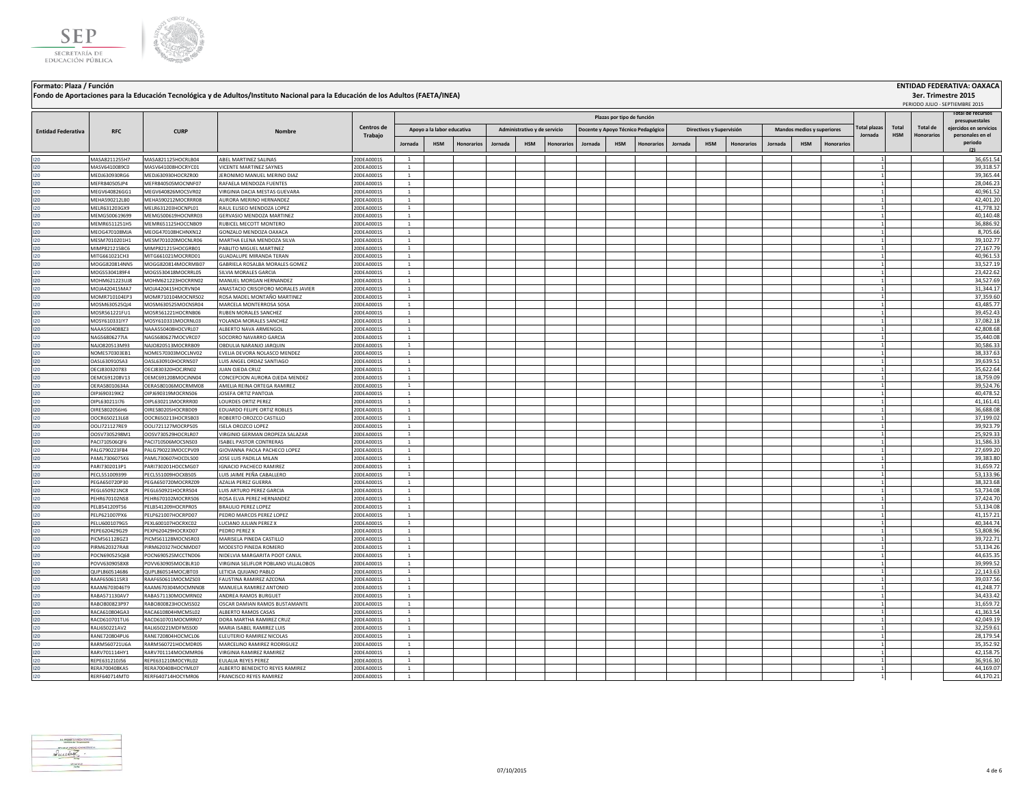



**Fondo de Aportaciones para la Educación Tecnológica y de Adultos/Instituto Nacional para la Educación de los Adultos (FAETA/INEA)**

**3er. Trimestre 2015**

|                           |                                |                                          | Fondo de Aportaciones para la Educación Tecnológica y de Adultos/Instituto Nacional para la Educación de los Adultos (FAETA/INEA) |                          |                                |                            |            |         |                              |            |         |                            |                                    |         |                          |                   |         |                            |            |                     |              |                 | 3er. Trimestre 2015<br>PERIODO JULIO - SEPTIEMBRE 2015 |
|---------------------------|--------------------------------|------------------------------------------|-----------------------------------------------------------------------------------------------------------------------------------|--------------------------|--------------------------------|----------------------------|------------|---------|------------------------------|------------|---------|----------------------------|------------------------------------|---------|--------------------------|-------------------|---------|----------------------------|------------|---------------------|--------------|-----------------|--------------------------------------------------------|
|                           |                                |                                          |                                                                                                                                   |                          |                                |                            |            |         |                              |            |         | Plazas por tipo de función |                                    |         |                          |                   |         |                            |            |                     |              |                 | Total de recursos                                      |
| <b>Entidad Federativa</b> | <b>RFC</b>                     | <b>CURP</b>                              |                                                                                                                                   | Centros de               |                                | Apoyo a la labor educativa |            |         | Administrativo y de servicio |            |         |                            | Docente y Apoyo Técnico Pedagógico |         | Directivos y Supervisión |                   |         | Mandos medios y superiores |            | <b>Total plazas</b> | <b>Total</b> | <b>Total de</b> | presupuestales<br>eiercidos en servicios               |
|                           |                                |                                          |                                                                                                                                   | Trabajo                  | Jornada                        | <b>HSM</b>                 | Honorarios | Jornada | <b>HSM</b>                   | Honorarios | Jornada | <b>HSM</b>                 | Honorarios                         | Jornada | <b>HSM</b>               | <b>Honorarios</b> | Jornada | <b>HSM</b>                 | Honorarios | Jornada             | <b>HSM</b>   | Honorario:      | personales en el<br>periodo<br>(2)                     |
| 120                       | MASA8211255H7                  | MASA821125HOCRLB04                       | ABEL MARTINEZ SALINAS                                                                                                             | 20DEA0001S               | $\mathbf{1}$                   |                            |            |         |                              |            |         |                            |                                    |         |                          |                   |         |                            |            |                     |              |                 | 36,651.54                                              |
| 120                       | MASV6410089C0                  | MASV641008HOCRYC01                       | VICENTE MARTINEZ SAYNES                                                                                                           | 20DEA0001S               | $\mathbf{1}$                   |                            |            |         |                              |            |         |                            |                                    |         |                          |                   |         |                            |            |                     |              |                 | 39,318.57                                              |
| 120                       | MEDJ630930RG6                  | MEDI630930HOCRZR00                       | <b>IFRONIMO MANUEL MERINO DIAZ</b>                                                                                                | 20DEA0001S               | -1                             |                            |            |         |                              |            |         |                            |                                    |         |                          |                   |         |                            |            |                     |              |                 | 39,365.44                                              |
| 120                       | MFFR840505JP4                  | MEER840505MOCNNE07                       | RAFAELA MENDOZA FUENTES                                                                                                           | 20DEA0001S               | -1                             |                            |            |         |                              |            |         |                            |                                    |         |                          |                   |         |                            |            |                     |              |                 | 28,046.23                                              |
| 120                       | MEGV640826GG1                  | MEGV640826MOCSVR02                       | VIRGINIA DACIA MESTAS GUEVARA                                                                                                     | 20DEA0001S               | <sup>1</sup>                   |                            |            |         |                              |            |         |                            |                                    |         |                          |                   |         |                            |            |                     |              |                 | 40,961.52                                              |
| 120                       | MEHA590212LB0                  | MEHA590212MOCRRR08                       | AURORA MERINO HERNANDEZ                                                                                                           | 20DEA0001S               | $\mathbf{1}$                   |                            |            |         |                              |            |         |                            |                                    |         |                          |                   |         |                            |            |                     |              |                 | 42,401.20                                              |
| 120                       | MELR631203GX9                  | MELR631203HOCNPL01                       | RAUL ELISEO MENDOZA LOPEZ                                                                                                         | 20DEA0001S               | $\mathbf{1}$                   |                            |            |         |                              |            |         |                            |                                    |         |                          |                   |         |                            |            |                     |              |                 | 41,778.32                                              |
| 120                       | MEMG500619699                  | MEMG500619HOCNRR03                       | GERVASIO MENDOZA MARTINEZ                                                                                                         | 20DEA0001S               | $\mathbf{1}$                   |                            |            |         |                              |            |         |                            |                                    |         |                          |                   |         |                            |            |                     |              |                 | 40,140.48                                              |
| 120                       | MEMR6511251H5                  | MEMR651125HOCCNB09                       | RUBICEL MECOTT MONTERO                                                                                                            | 20DEA0001S               | $\mathbf{1}$<br>$\overline{1}$ |                            |            |         |                              |            |         |                            |                                    |         |                          |                   |         |                            |            |                     |              |                 | 36,886.92                                              |
| 120<br>120                | MEOG470108MJA<br>MFSM7010201H1 | MEOG470108HCHNXN12<br>MESM701020MOCNLR06 | GONZALO MENDOZA OAXACA<br>MARTHA FI FNA MENDOZA SILVA                                                                             | 20DEA0001S<br>20DEA0001S | $\overline{1}$                 |                            |            |         |                              |            |         |                            |                                    |         |                          |                   |         |                            |            |                     |              |                 | 8,705.66<br>39,102.77                                  |
| 120                       | MIMP821215BC6                  | MIMP821215HOCGRB01                       | PABLITO MIGUEL MARTINEZ                                                                                                           | 20DEA0001S               | $\overline{1}$                 |                            |            |         |                              |            |         |                            |                                    |         |                          |                   |         |                            |            |                     |              |                 | 27,167.79                                              |
| 120                       | MITG661021CH3                  | MITG661021MOCRRD01                       | <b>GUADALUPE MIRANDA TERAN</b>                                                                                                    | 20DEA0001S               | $\mathbf{1}$                   |                            |            |         |                              |            |         |                            |                                    |         |                          |                   |         |                            |            |                     |              |                 | 40,961.53                                              |
| 120                       | MOGG820814NN5                  | MOGG820814MOCRMB07                       | GABRIELA ROSALBA MORALES GOMEZ                                                                                                    | 20DEA0001S               | $\overline{1}$                 |                            |            |         |                              |            |         |                            |                                    |         |                          |                   |         |                            |            |                     |              |                 | 33,527.19                                              |
| 120                       | MOGS5304189F4                  | MOGS530418MOCRRL05                       | SILVIA MORALES GARCIA                                                                                                             | 20DEA0001S               | $\mathbf{1}$                   |                            |            |         |                              |            |         |                            |                                    |         |                          |                   |         |                            |            |                     |              |                 | 23,422.62                                              |
| 120                       | MOHM621223UJ8                  | MOHM621223HOCRRN02                       | MANUEL MORGAN HERNANDEZ                                                                                                           | 20DEA0001S               | $\mathbf{1}$                   |                            |            |         |                              |            |         |                            |                                    |         |                          |                   |         |                            |            |                     |              |                 | 34,527.69                                              |
| 120                       | MOJA420415MA7                  | MOJA420415HOCRVN04                       | ANASTACIO CRISOFORO MORALES JAVIER                                                                                                | 20DEA0001S               | $\mathbf{1}$                   |                            |            |         |                              |            |         |                            |                                    |         |                          |                   |         |                            |            |                     |              |                 | 31,344.17                                              |
| 120                       | MOMR710104EP3                  | MOMR710104MOCNRS02                       | ROSA MADEL MONTAÑO MARTINEZ                                                                                                       | 20DEA0001S               | $\mathbf{1}$                   |                            |            |         |                              |            |         |                            |                                    |         |                          |                   |         |                            |            |                     |              |                 | 37,359.60                                              |
| 120                       | MOSM630525QJ4                  | MOSM630525MOCNSR04                       | MARCELA MONTERROSA SOSA                                                                                                           | 20DEA0001S               | <sup>1</sup>                   |                            |            |         |                              |            |         |                            |                                    |         |                          |                   |         |                            |            |                     |              |                 | 43,485.77                                              |
| 120                       | MOSR561221FU1                  | MOSR561221HOCRNB06                       | RUBEN MORALES SANCHEZ                                                                                                             | 20DEA0001S               | 1                              |                            |            |         |                              |            |         |                            |                                    |         |                          |                   |         |                            |            |                     |              |                 | 39,452.43                                              |
| 120                       | MOSY610331IY7                  | MOSY610331MOCRNL03                       | YOLANDA MORALES SANCHEZ                                                                                                           | 20DEA0001S               | $\mathbf{1}$                   |                            |            |         |                              |            |         |                            |                                    |         |                          |                   |         |                            |            |                     |              |                 | 37,082.18                                              |
| 120                       | NAAA5504088Z3                  | NAAA550408HOCVRL07                       | ALBERTO NAVA ARMENGOL                                                                                                             | 20DEA0001S               | $\mathbf{1}$                   |                            |            |         |                              |            |         |                            |                                    |         |                          |                   |         |                            |            |                     |              |                 | 42,808.68                                              |
| 120                       | NAGS6806277IA                  | NAGS680627MOCVRC07                       | SOCORRO NAVARRO GARCIA                                                                                                            | 20DEA0001S               | $\mathbf{1}$                   |                            |            |         |                              |            |         |                            |                                    |         |                          |                   |         |                            |            |                     |              |                 | 35,440.08                                              |
| 120                       | NAJO820513M93                  | NAJO820513MOCRRB09                       | OBDULIA NARANJO JARQUIN                                                                                                           | 20DEA0001S               | $\mathbf{1}$                   |                            |            |         |                              |            |         |                            |                                    |         |                          |                   |         |                            |            |                     |              |                 | 30,586.33                                              |
| 120                       | NOME570303EB1                  | NOME570303MOCLNV02                       | EVELIA DEVORA NOLASCO MENDEZ                                                                                                      | 20DEA0001S               | $\mathbf{1}$<br>$\mathbf{1}$   |                            |            |         |                              |            |         |                            |                                    |         |                          |                   |         |                            |            |                     |              |                 | 38,337.63                                              |
| 120<br>120                | OASL630910SA3<br>OECJ830320783 | OASL630910HOCRNS07<br>OECJ830320HOCJRN02 | LUIS ANGEL ORDAZ SANTIAGO<br>JUAN OJEDA CRUZ                                                                                      | 20DEA0001S<br>20DEA0001S | $\mathbf{1}$                   |                            |            |         |                              |            |         |                            |                                    |         |                          |                   |         |                            |            |                     |              |                 | 39,639.51<br>35,622.64                                 |
| 120                       | OEMC691208V13                  | OEMC691208MOCJNN04                       | CONCEPCION AURORA OJEDA MENDEZ                                                                                                    | 20DEA0001S               | $\mathbf{1}$                   |                            |            |         |                              |            |         |                            |                                    |         |                          |                   |         |                            |            |                     |              |                 | 18,759.09                                              |
| 120                       | OERA58010634A                  | OERA580106MOCRMM08                       | AMELIA REINA ORTEGA RAMIREZ                                                                                                       | 20DEA0001S               | $\mathbf{1}$                   |                            |            |         |                              |            |         |                            |                                    |         |                          |                   |         |                            |            |                     |              |                 | 39,524.76                                              |
| 120                       | OIPJ690319IK2                  | OIPJ690319MOCRNS06                       | JOSEFA ORTIZ PANTOJA                                                                                                              | 20DEA0001S               | $\mathbf{1}$                   |                            |            |         |                              |            |         |                            |                                    |         |                          |                   |         |                            |            |                     |              |                 | 40,478.52                                              |
| 120                       | OIPL630211I76                  | OIPL630211MOCRRR00                       | LOURDES ORTIZ PEREZ                                                                                                               | 20DEA0001S               | $\overline{1}$                 |                            |            |         |                              |            |         |                            |                                    |         |                          |                   |         |                            |            |                     |              |                 | 41,161.41                                              |
| 120                       | OIRE5802056H6                  | OIRE580205HOCRBD09                       | EDUARDO FELIPE ORTIZ ROBLES                                                                                                       | 20DEA0001S               | $\mathbf{1}$                   |                            |            |         |                              |            |         |                            |                                    |         |                          |                   |         |                            |            |                     |              |                 | 36,688.08                                              |
| 120                       | OOCR650213L68                  | OOCR650213HOCRSB03                       | ROBERTO OROZCO CASTILLO                                                                                                           | 20DEA0001S               | $\mathbf{1}$                   |                            |            |         |                              |            |         |                            |                                    |         |                          |                   |         |                            |            |                     |              |                 | 37,199.02                                              |
| 120                       | OOLI721127RE9                  | OOLI721127MOCRPS05                       | <b>ISELA OROZCO LOPEZ</b>                                                                                                         | 20DEA0001S               | $\mathbf{1}$                   |                            |            |         |                              |            |         |                            |                                    |         |                          |                   |         |                            |            |                     |              |                 | 39,923.79                                              |
| 120                       | OOSV7305298M1                  | OOSV730529HOCRLR07                       | VIRGINIO GERMAN OROPEZA SALAZAR                                                                                                   | 20DEA0001S               | <sup>1</sup>                   |                            |            |         |                              |            |         |                            |                                    |         |                          |                   |         |                            |            |                     |              |                 | 25,929.33                                              |
| 120                       | PAC1710506OF6                  | PACI710506MOCSNS03                       | <b>ISAREL PASTOR CONTRERAS</b>                                                                                                    | 20DEA0001S               | <sup>1</sup>                   |                            |            |         |                              |            |         |                            |                                    |         |                          |                   |         |                            |            |                     |              |                 | 31,586.33                                              |
| 120                       | PALG790223FB4                  | PALG790223MOCCPV09                       | GIOVANNA PAOLA PACHECO LOPEZ                                                                                                      | 20DEA0001S               | -1                             |                            |            |         |                              |            |         |                            |                                    |         |                          |                   |         |                            |            |                     |              |                 | 27,699.20                                              |
| 120                       | PAML7306075K6                  | PAML730607HOCDLS00                       | JOSE LUIS PADILLA MILAN                                                                                                           | 20DEA0001S               | $\mathbf{1}$                   |                            |            |         |                              |            |         |                            |                                    |         |                          |                   |         |                            |            |                     |              |                 | 39,383.80                                              |
| 120                       | PARI7302013P1                  | PARI730201HOCCMG07                       | <b>IGNACIO PACHECO RAMIREZ</b>                                                                                                    | 20DEA0001S               | $\mathbf{1}$                   |                            |            |         |                              |            |         |                            |                                    |         |                          |                   |         |                            |            |                     |              |                 | 31,659.72                                              |
| 120                       | PECL551009399                  | PECL551009HOCXBS05                       | LUIS JAIME PEÑA CABALLERO                                                                                                         | 20DEA0001S               | 1                              |                            |            |         |                              |            |         |                            |                                    |         |                          |                   |         |                            |            |                     |              |                 | 53,133.96                                              |
| 120<br>120                | PEGA650720P30<br>PEGL650921NC8 | PEGA650720MOCRRZ09<br>PEGL650921HOCRRS04 | AZALIA PEREZ GUERRA<br>LUIS ARTURO PEREZ GARCIA                                                                                   | 20DEA0001S<br>20DEA0001S | $\mathbf{1}$<br>$\overline{1}$ |                            |            |         |                              |            |         |                            |                                    |         |                          |                   |         |                            |            |                     |              |                 | 38,323.68<br>53,734.08                                 |
| 120                       | PEHR670102NS8                  | PEHR670102MOCRRS06                       | ROSA FI VA PEREZ HERNANDEZ                                                                                                        | 20DEA0001S               | $\mathbf{1}$                   |                            |            |         |                              |            |         |                            |                                    |         |                          |                   |         |                            |            |                     |              |                 | 37,424.70                                              |
| 120                       | PELB541209TS6                  | PELB541209HOCRPR05                       | <b>BRAULIO PEREZ LOPEZ</b>                                                                                                        | 20DEA0001S               | $\mathbf{1}$                   |                            |            |         |                              |            |         |                            |                                    |         |                          |                   |         |                            |            |                     |              |                 | 53.134.08                                              |
| 120                       | PELP621007PX6                  | PELP621007HOCRPD07                       | PEDRO MARCOS PEREZ LOPEZ                                                                                                          | 20DEA0001S               | $\mathbf{1}$                   |                            |            |         |                              |            |         |                            |                                    |         |                          |                   |         |                            |            |                     |              |                 | 41,157.21                                              |
| 120                       | PELU6001079G5                  | PEXL600107HOCRXC02                       | LUCIANO JULIAN PEREZ X                                                                                                            | 20DEA0001S               | $\mathbf{1}$                   |                            |            |         |                              |            |         |                            |                                    |         |                          |                   |         |                            |            |                     |              |                 | 40,344.74                                              |
| 120                       | PEPE620429G29                  | PEXP620429HOCRXD07                       | PEDRO PEREZ X                                                                                                                     | 20DEA0001S               | $\overline{1}$                 |                            |            |         |                              |            |         |                            |                                    |         |                          |                   |         |                            |            |                     |              |                 | 53,808.96                                              |
| 120                       | PICM561128GZ3                  | PICM561128MOCNSR03                       | MARISELA PINEDA CASTILLO                                                                                                          | 20DEA0001S               | $\mathbf{1}$                   |                            |            |         |                              |            |         |                            |                                    |         |                          |                   |         |                            |            |                     |              |                 | 39,722.71                                              |
| 120                       | PIRM620327RA8                  | PIRM620327HOCNMD07                       | MODESTO PINEDA ROMERO                                                                                                             | 20DEA0001S               | $\mathbf{1}$                   |                            |            |         |                              |            |         |                            |                                    |         |                          |                   |         |                            |            |                     |              |                 | 53,134.26                                              |
| 120                       | POCN690525Q68                  | POCN690525MCCTND06                       | NIDELVIA MARGARITA POOT CANUL                                                                                                     | 20DEA0001S               |                                |                            |            |         |                              |            |         |                            |                                    |         |                          |                   |         |                            |            |                     |              |                 | 44,635.35                                              |
| 120                       | 20VV6309058X8                  | POVV630905MOCBLR10                       | VIRGINIA SELIFLOR POBLANO VILLALOBOS                                                                                              | 20DEA0001S               | $\mathbf{1}$                   |                            |            |         |                              |            |         |                            |                                    |         |                          |                   |         |                            |            |                     |              |                 | 39.999.52                                              |
| 120                       | QUPL860514686                  | OUPL860514MOCIRT03                       | LETICIA OUILANO PABLO                                                                                                             | 20DEA0001S               | $\mathbf{1}$                   |                            |            |         |                              |            |         |                            |                                    |         |                          |                   |         |                            |            |                     |              |                 | 22,143.63                                              |
| 120                       | RAAF6506115R3                  | RAAF650611MOCMZS03                       | FAUSTINA RAMIREZ AZCONA                                                                                                           | 20DEA0001S               | $\mathbf{1}$                   |                            |            |         |                              |            |         |                            |                                    |         |                          |                   |         |                            |            |                     |              |                 | 39,037.56                                              |
| 120                       | RAAM6703046T9                  | RAAM670304MOCMNN08                       | MANUELA RAMIREZ ANTONIO                                                                                                           | 20DEA0001S               | 1                              |                            |            |         |                              |            |         |                            |                                    |         |                          |                   |         |                            |            |                     |              |                 | 41,248.77                                              |
| 120                       | RABA571130AV7                  | RABA571130MOCMRN02                       | ANDREA RAMOS BURGUET                                                                                                              | 20DEA0001S               | $\mathbf{1}$                   |                            |            |         |                              |            |         |                            |                                    |         |                          |                   |         |                            |            |                     |              |                 | 34,433.42                                              |
| 120                       | RABO800823P97                  | RABO800823HOCMSS02                       | OSCAR DAMIAN RAMOS BUSTAMANTE                                                                                                     | 20DEA0001S               | $\mathbf{1}$                   |                            |            |         |                              |            |         |                            |                                    |         |                          |                   |         |                            |            |                     |              |                 | 31,659.72                                              |
| 120<br>120                | RACA610804GA3<br>RACD610701TU6 | RACA610804HMCMSL02<br>RACD610701MOCMRR07 | ALBERTO RAMOS CASAS<br>DORA MARTHA RAMIREZ CRUZ                                                                                   | 20DEA0001S<br>20DEA0001S | $\mathbf{1}$<br>$\mathbf{1}$   |                            |            |         |                              |            |         |                            |                                    |         |                          |                   |         |                            |            |                     |              |                 | 41,363.54<br>42,049.19                                 |
| 120                       | RALI650221AV2                  | RALI650221MDFMSS00                       | MARIA ISABEL RAMIREZ LUIS                                                                                                         |                          | $\overline{1}$                 |                            |            |         |                              |            |         |                            |                                    |         |                          |                   |         |                            |            |                     |              |                 | 32,259.61                                              |
| 120                       | RANE720804PU6                  | RANE720804HOCMCL06                       | ELEUTERIO RAMIREZ NICOLAS                                                                                                         | 20DEA0001S               | $\mathbf{1}$                   |                            |            |         |                              |            |         |                            |                                    |         |                          |                   |         |                            |            |                     |              |                 | 28,179.54                                              |
| 120                       | RARM560721U6A                  | RARM560721HOCMDR05                       | MARCELINO RAMIREZ RODRIGUEZ                                                                                                       | 20DEA0001S<br>20DEA0001S | $\mathbf{1}$                   |                            |            |         |                              |            |         |                            |                                    |         |                          |                   |         |                            |            |                     |              |                 | 35,352.92                                              |
| 120                       | RARV701114HY1                  | RARV701114MOCMMR06                       | VIRGINIA RAMIREZ RAMIREZ                                                                                                          | 20DEA0001S               | $\mathbf{1}$                   |                            |            |         |                              |            |         |                            |                                    |         |                          |                   |         |                            |            |                     |              |                 | 42,158.75                                              |
| 120                       | REPE631210J56                  | REPE631210MOCYRL02                       | EULALIA REYES PEREZ                                                                                                               | 20DEA0001S               | $\mathbf{1}$                   |                            |            |         |                              |            |         |                            |                                    |         |                          |                   |         |                            |            |                     |              |                 | 36,916.30                                              |
| 120                       | RERA700408KA5                  | RERA700408HOCYML07                       | ALBERTO BENEDICTO REYES RAMIREZ                                                                                                   | 20DEA0001S               | $\mathbf{1}$                   |                            |            |         |                              |            |         |                            |                                    |         |                          |                   |         |                            |            |                     |              |                 | 44,169.07                                              |
| 120                       | RERF640714MT0                  | RERF640714HOCYMR06                       | FRANCISCO REYES RAMIREZ                                                                                                           | 20DEA0001S               | $\mathbf{1}$                   |                            |            |         |                              |            |         |                            |                                    |         |                          |                   |         |                            |            |                     |              |                 | 44,170.21                                              |

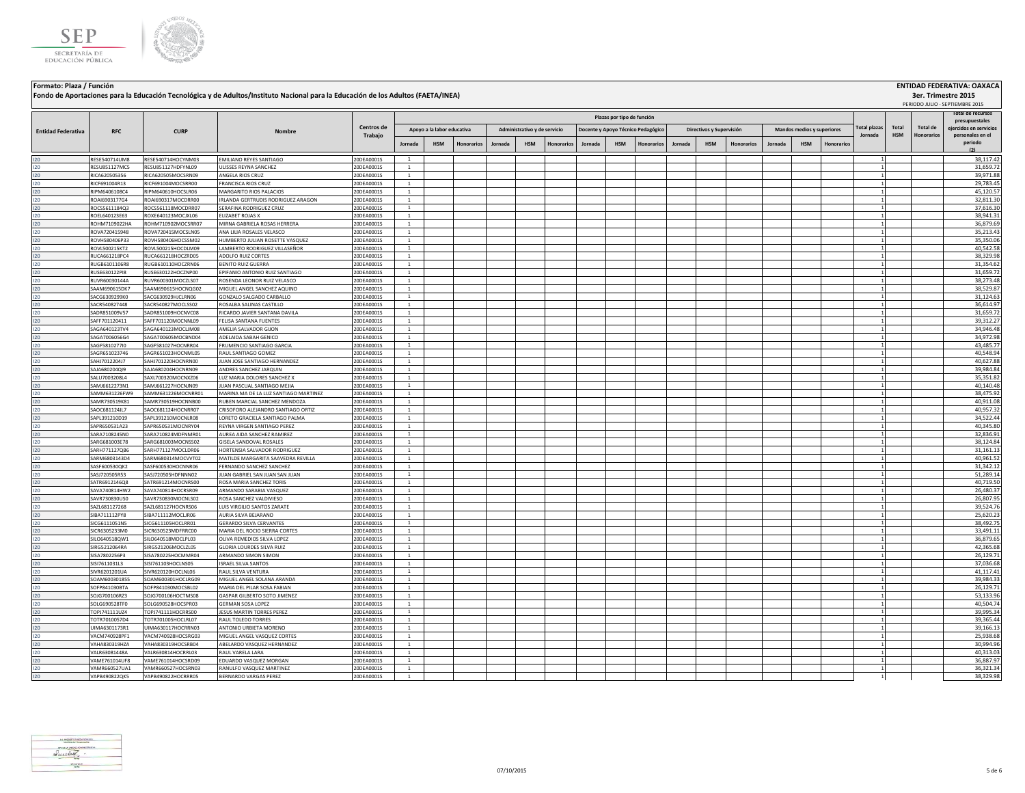



|                           |                                |                                          | Fondo de Aportaciones para la Educación Tecnológica y de Adultos/Instituto Nacional para la Educación de los Adultos (FAETA/INEA) |                          |                                  |            |            |                              |            |                   |         |                                    |                          |         |            |                   |                            |            |                                |                     |                               |                                            | 3er. Trimestre 2015<br>PERIODO JULIO - SEPTIEMBRE 2015 |
|---------------------------|--------------------------------|------------------------------------------|-----------------------------------------------------------------------------------------------------------------------------------|--------------------------|----------------------------------|------------|------------|------------------------------|------------|-------------------|---------|------------------------------------|--------------------------|---------|------------|-------------------|----------------------------|------------|--------------------------------|---------------------|-------------------------------|--------------------------------------------|--------------------------------------------------------|
|                           |                                |                                          |                                                                                                                                   |                          |                                  |            |            |                              |            |                   |         | Plazas por tipo de función         |                          |         |            |                   |                            |            |                                |                     |                               |                                            | otal de recursos<br>presupuestales                     |
| <b>Entidad Federativa</b> | <b>RFC</b>                     | <b>CURP</b>                              |                                                                                                                                   | Centros de<br>Trabajo    | Apoyo a la labor educativa       |            |            | Administrativo y de servicio |            |                   |         | Docente y Apoyo Técnico Pedagógico | Directivos y Supervisión |         |            |                   | Mandos medios y superiores |            | <b>Total plazas</b><br>Jornada | Total<br><b>HSM</b> | Total de<br><b>Honorarios</b> | eiercidos en servicios<br>personales en el |                                                        |
|                           |                                |                                          |                                                                                                                                   |                          | Jornada                          | <b>HSM</b> | Honorarios | Jornada                      | <b>HSM</b> | <b>Honorarios</b> | Jornada | <b>HSM</b>                         | Honorarios               | Jornada | <b>HSM</b> | <b>Honorarios</b> | Jornada                    | <b>HSM</b> | Honorarios                     |                     |                               |                                            | periodo<br>(2)                                         |
| 120                       | RESE540714UM8                  | RESE540714HOCYNM03                       | EMILIANO REYES SANTIAGO                                                                                                           | 20DEA0001S               | <sup>1</sup>                     |            |            |                              |            |                   |         |                                    |                          |         |            |                   |                            |            |                                |                     |                               |                                            | 38,117.42                                              |
| 120                       | RESU851127MC5                  | RESU851127HDFYNL09                       | ULISSES REYNA SANCHEZ                                                                                                             | 20DEA0001S               | $\mathbf{1}$                     |            |            |                              |            |                   |         |                                    |                          |         |            |                   |                            |            |                                |                     |                               |                                            | 31,659.72                                              |
| 120                       | RICA620505356                  | RICA620505MOCSRN09                       | ANGELA RIOS CRUZ                                                                                                                  | 20DEA0001S               | <sup>1</sup>                     |            |            |                              |            |                   |         |                                    |                          |         |            |                   |                            |            |                                |                     |                               |                                            | 39,971.88                                              |
| 120                       | RICF691004R13                  | RICF691004MOCSRR00                       | FRANCISCA RIOS CRUZ                                                                                                               | 20DEA0001S               | $\overline{1}$                   |            |            |                              |            |                   |         |                                    |                          |         |            |                   |                            |            |                                |                     |                               |                                            | 29,783.45                                              |
| 120                       | RIPM6406108C4                  | RIPM640610HOCSLR06                       | MARGARITO RIOS PALACIOS                                                                                                           | 20DEA0001S               | $\overline{1}$                   |            |            |                              |            |                   |         |                                    |                          |         |            |                   |                            |            |                                |                     |                               |                                            | 45,120.57                                              |
| 120                       | ROAI6903177G4                  | ROAI690317MOCDRR00                       | <b>RIANDA GERTRUDIS RODRIGUEZ ARAGON</b>                                                                                          | 20DEA0001S               | <sup>1</sup>                     |            |            |                              |            |                   |         |                                    |                          |         |            |                   |                            |            |                                |                     |                               |                                            | 32,811.30                                              |
| 120                       | ROCS5611184Q3                  | ROCS561118MOCDRR07                       | SERAFINA RODRIGUEZ CRUZ                                                                                                           | 20DEA0001S               | $\overline{1}$                   |            |            |                              |            |                   |         |                                    |                          |         |            |                   |                            |            |                                |                     |                               |                                            | 37,616.30                                              |
| 120                       | ROEL640123E63                  | ROXE640123MOCJXL06                       | ELIZABET ROJAS X                                                                                                                  | 20DEA0001S               | $\overline{1}$<br>$\overline{1}$ |            |            |                              |            |                   |         |                                    |                          |         |            |                   |                            |            |                                |                     |                               |                                            | 38,941.31                                              |
| 120<br>120                | ROHM7109022HA<br>ROVA720415948 | ROHM710902MOCSRR07<br>ROVA720415MOCSLN05 | MIRNA GABRIELA ROSAS HERRERA<br>ANA LILIA ROSALES VELASCO                                                                         | 20DEA0001S<br>20DEA0001S | $\overline{1}$                   |            |            |                              |            |                   |         |                                    |                          |         |            |                   |                            |            |                                |                     |                               |                                            | 36,879.69<br>35,213.43                                 |
| 120                       | ROVH580406P33                  | ROVH580406HOCSSM02                       | HUMBERTO JULIAN ROSETTE VASQUEZ                                                                                                   | 20DEA0001S               | $\overline{1}$                   |            |            |                              |            |                   |         |                                    |                          |         |            |                   |                            |            |                                |                     |                               |                                            | 35,350.06                                              |
| 120                       | ROVL500215KT2                  | ROVL500215HOCDLM09                       | LAMBERTO RODRIGUEZ VILLASEÑOR                                                                                                     | 20DEA0001S               | <sup>1</sup>                     |            |            |                              |            |                   |         |                                    |                          |         |            |                   |                            |            |                                |                     |                               |                                            | 40,542.58                                              |
| 120                       | RUCA661218PC4                  | RUCA661218HOCZRD05                       | ADOLFO RUIZ CORTES                                                                                                                | 20DEA0001S               | <sup>1</sup>                     |            |            |                              |            |                   |         |                                    |                          |         |            |                   |                            |            |                                |                     |                               |                                            | 38,329.98                                              |
| 120                       | RUGB6101106R8                  | RUGB610110HOCZRN06                       | BENITO RUIZ GUERRA                                                                                                                | 20DEA0001S               | $\mathbf{1}$                     |            |            |                              |            |                   |         |                                    |                          |         |            |                   |                            |            |                                |                     |                               |                                            | 31,354.62                                              |
| 120                       | RUSE630122PI8                  | RUSE630122HOCZNP00                       | PIFANIO ANTONIO RUIZ SANTIAGO                                                                                                     | 20DEA0001S               | $\mathbf{1}$                     |            |            |                              |            |                   |         |                                    |                          |         |            |                   |                            |            |                                |                     |                               |                                            | 31,659.72                                              |
| 120                       | RUVR60030144A                  | RUVR600301MOCZLS07                       | ROSENDA LEONOR RUIZ VELASCO                                                                                                       | 20DEA0001S               |                                  |            |            |                              |            |                   |         |                                    |                          |         |            |                   |                            |            |                                |                     |                               |                                            | 38,273.48                                              |
| 120                       | SAAM690615DK7                  | SAAM690615HOCNOG02                       | MIGUEL ANGEL SANCHEZ AQUINO                                                                                                       | 20DEA0001S               | $\mathbf{1}$                     |            |            |                              |            |                   |         |                                    |                          |         |            |                   |                            |            |                                |                     |                               |                                            | 38,529.87                                              |
| 120                       | SACG6309299K0                  | SACG630929HJCLRN06                       | GONZALO SALGADO CARBALLO                                                                                                          | 20DEA0001S               | <sup>1</sup>                     |            |            |                              |            |                   |         |                                    |                          |         |            |                   |                            |            |                                |                     |                               |                                            | 31,124.63                                              |
| 120                       | SACR540827448                  | SACR540827MOCLSS02                       | ROSALBA SALINAS CASTILLO                                                                                                          | 20DEA0001S               | <sup>1</sup>                     |            |            |                              |            |                   |         |                                    |                          |         |            |                   |                            |            |                                |                     |                               |                                            | 36,614.97                                              |
| 120                       | SADR851009V57                  | SADR851009HOCNVC08                       | RICARDO JAVIER SANTANA DAVILA                                                                                                     | 20DEA0001S               | <sup>1</sup>                     |            |            |                              |            |                   |         |                                    |                          |         |            |                   |                            |            |                                |                     |                               |                                            | 31,659.72                                              |
| 120                       | SAFF701120411                  | SAFF701120MOCNNL09                       | FELISA SANTANA FUENTES                                                                                                            | 20DEA0001S               | <sup>1</sup>                     |            |            |                              |            |                   |         |                                    |                          |         |            |                   |                            |            |                                |                     |                               |                                            | 39,312.27                                              |
| 120                       | SAGA640123TV4                  | SAGA640123MOCLIM08                       | AMELIA SALVADOR GIJON                                                                                                             | 20DEA0001S               | $\overline{1}$                   |            |            |                              |            |                   |         |                                    |                          |         |            |                   |                            |            |                                |                     |                               |                                            | 34,946.48                                              |
| 120                       | SAGA7006056G4                  | SAGA700605MOCBND04                       | ADELAIDA SABAH GENICO                                                                                                             | 20DEA0001S               | $\mathbf{1}$                     |            |            |                              |            |                   |         |                                    |                          |         |            |                   |                            |            |                                |                     |                               |                                            | 34,972.98                                              |
| 120                       | SAGF5810277I0                  | SAGF581027HOCNRR04                       | FRUMENCIO SANTIAGO GARCIA                                                                                                         | 20DEA0001S               | $\overline{1}$                   |            |            |                              |            |                   |         |                                    |                          |         |            |                   |                            |            |                                |                     |                               |                                            | 43,485.77                                              |
| 120                       | SAGR651023746                  | SAGR651023HOCNML05                       | RAUL SANTIAGO GOMEZ                                                                                                               | 20DEA0001S               | <sup>1</sup>                     |            |            |                              |            |                   |         |                                    |                          |         |            |                   |                            |            |                                |                     |                               |                                            | 40,548.94                                              |
| 120                       | SAHJ7012204J7                  | SAHJ701220HOCNRN00                       | JUAN JOSE SANTIAGO HERNANDEZ                                                                                                      | 20DEA0001S               | $\mathbf{1}$                     |            |            |                              |            |                   |         |                                    |                          |         |            |                   |                            |            |                                |                     |                               |                                            | 40,627.88                                              |
| 120                       | SAJA680204QI9<br>SALU7003208L4 | SAJA680204HOCNRN09<br>SAXL700320MOCNXZ06 | ANDRES SANCHEZ JARQUIN<br>LUZ MARIA DOLORES SANCHEZ X                                                                             | 20DEA0001S<br>20DEA0001S | <sup>1</sup><br>$\mathbf{1}$     |            |            |                              |            |                   |         |                                    |                          |         |            |                   |                            |            |                                |                     |                               |                                            | 39,984.84<br>35,351.82                                 |
| 120<br>120                | SAMJ6612273N1                  | SAMJ661227HOCNJN09                       | JUAN PASCUAL SANTIAGO MEJIA                                                                                                       | 20DEA0001S               | $\mathbf{1}$                     |            |            |                              |            |                   |         |                                    |                          |         |            |                   |                            |            |                                |                     |                               |                                            | 40,140.48                                              |
| 120                       | SAMM631226FW9                  | SAMM631226MOCNRR01                       | MARINA MA DE LA LUZ SANTIAGO MARTINEZ                                                                                             | 20DEA0001S               | $\mathbf{1}$                     |            |            |                              |            |                   |         |                                    |                          |         |            |                   |                            |            |                                |                     |                               |                                            | 38,475.92                                              |
| 120                       | SAMR730519K81                  | SAMR730519HOCNNB00                       | RUBEN MARCIAL SANCHEZ MENDOZA                                                                                                     | 20DEA0001S               | $\mathbf{1}$                     |            |            |                              |            |                   |         |                                    |                          |         |            |                   |                            |            |                                |                     |                               |                                            | 40,911.08                                              |
| 120                       | SAOC681124JL7                  | SAOC681124HOCNRR07                       | CRISOFORO ALEJANDRO SANTIAGO ORTIZ                                                                                                | 20DEA0001S               | $\overline{1}$                   |            |            |                              |            |                   |         |                                    |                          |         |            |                   |                            |            |                                |                     |                               |                                            | 40,957.32                                              |
| 120                       | SAPL391210D19                  | SAPL391210MOCNLR08                       | LORETO GRACIELA SANTIAGO PALMA                                                                                                    | 20DEA0001S               | $\overline{1}$                   |            |            |                              |            |                   |         |                                    |                          |         |            |                   |                            |            |                                |                     |                               |                                            | 34,522.44                                              |
| 120                       | SAPR650531A23                  | SAPR650531MOCNRY04                       | REYNA VIRGEN SANTIAGO PEREZ                                                                                                       | 20DEA0001S               | $\overline{1}$                   |            |            |                              |            |                   |         |                                    |                          |         |            |                   |                            |            |                                |                     |                               |                                            | 40,345.80                                              |
| 120                       | SARA7108245N0                  | SARA710824MDFNMR01                       | AUREA AIDA SANCHEZ RAMIREZ                                                                                                        | 20DEA0001S               | $\overline{1}$                   |            |            |                              |            |                   |         |                                    |                          |         |            |                   |                            |            |                                |                     |                               |                                            | 32,836.91                                              |
| 120                       | SARG681003E78                  | SARG681003MOCNSS02                       | GISELA SANDOVAL ROSALES                                                                                                           | 20DEA0001S               | <sup>1</sup>                     |            |            |                              |            |                   |         |                                    |                          |         |            |                   |                            |            |                                |                     |                               |                                            | 38,124.84                                              |
| 120                       | SARH771127QB6                  | SARH771127MOCLDR06                       | HORTENSIA SALVADOR RODRIGUEZ                                                                                                      | 20DEA0001S               | $\mathbf{1}$                     |            |            |                              |            |                   |         |                                    |                          |         |            |                   |                            |            |                                |                     |                               |                                            | 31,161.13                                              |
| 120                       | SARM6803143D4                  | SARM680314MOCVVT02                       | MATILDE MARGARITA SAAVEDRA REVILLA                                                                                                | 20DEA0001S               | $\mathbf{1}$                     |            |            |                              |            |                   |         |                                    |                          |         |            |                   |                            |            |                                |                     |                               |                                            | 40,961.52                                              |
| 120                       | SASF600530QK2                  | SASF600530HOCNNR06                       | ERNANDO SANCHEZ SANCHEZ                                                                                                           | 20DEA0001S               |                                  |            |            |                              |            |                   |         |                                    |                          |         |            |                   |                            |            |                                |                     |                               |                                            | 31,342.12                                              |
| 120                       | SASJ720505R53                  | SASJ720505HDFNNN02                       | UAN GABRIEL SAN JUAN SAN JUAN                                                                                                     | 20DEA0001S               |                                  |            |            |                              |            |                   |         |                                    |                          |         |            |                   |                            |            |                                |                     |                               |                                            | 51,289.14                                              |
| 120                       | ATR6912146Q8                   | SATR691214MOCNRS00                       | <b>ROSA MARIA SANCHEZ TORIS</b>                                                                                                   | 20DEA0001S               | $\mathbf{1}$                     |            |            |                              |            |                   |         |                                    |                          |         |            |                   |                            |            |                                |                     |                               |                                            | 40,719.50                                              |
| 120                       | SAVA740814HW2                  | SAVA740814HOCRSR09                       | ARMANDO SARABIA VASQUEZ                                                                                                           | 20DEA0001S               | 1                                |            |            |                              |            |                   |         |                                    |                          |         |            |                   |                            |            |                                |                     |                               |                                            | 26,480.37                                              |
| 120                       | SAVR730830US0                  | SAVR730830MOCNLS02                       | ROSA SANCHEZ VALDIVIESO                                                                                                           | 20DEA0001S               | 1                                |            |            |                              |            |                   |         |                                    |                          |         |            |                   |                            |            |                                |                     |                               |                                            | 26,807.95                                              |
| 120                       | SA71681127268                  | SA71681127HOCNRS06                       | <b>LUIS VIRGILIO SANTOS ZARATE</b>                                                                                                | 20DE A0001S              | $\overline{1}$                   |            |            |                              |            |                   |         |                                    |                          |         |            |                   |                            |            |                                |                     |                               |                                            | 39.524.76                                              |
| 120                       | SIBA711112PY8<br>SICG6111051N5 | SIBA711112MOCLIR06<br>SICG611105HOCLBR01 | AURIA SILVA BEIARANO<br><b>GERARDO SILVA CERVANTES</b>                                                                            | 20DEA0001S<br>20DEA0001S | <sup>1</sup>                     |            |            |                              |            |                   |         |                                    |                          |         |            |                   |                            |            |                                |                     |                               |                                            | 25,620.23<br>38,492.75                                 |
| 120<br>120                | SICR6305233M0                  | SICR630523MDERRC00                       | MARIA DEL ROCIO SIERRA CORTES                                                                                                     | 20DEA0001S               | <sup>1</sup><br><sup>1</sup>     |            |            |                              |            |                   |         |                                    |                          |         |            |                   |                            |            |                                |                     |                               |                                            | 33,491.11                                              |
| 120                       | SILO640518QW1                  | SILO640518MOCLPL03                       | OLIVA REMEDIOS SILVA LOPEZ                                                                                                        | 20DEA0001S               | $\mathbf{1}$                     |            |            |                              |            |                   |         |                                    |                          |         |            |                   |                            |            |                                |                     |                               |                                            | 36,879.65                                              |
| 120                       | SIRG5212064RA                  | SIRG521206MOCLZL05                       | <b>GLORIA LOURDES SILVA RUIZ</b>                                                                                                  | 20DEA0001S               | <sup>1</sup>                     |            |            |                              |            |                   |         |                                    |                          |         |            |                   |                            |            |                                |                     |                               |                                            | 42,365.68                                              |
| 120                       | SISA7802256P3                  | SISA780225HOCMMR04                       | ARMANDO SIMON SIMON                                                                                                               | 20DEA0001S               | <sup>1</sup>                     |            |            |                              |            |                   |         |                                    |                          |         |            |                   |                            |            |                                |                     |                               |                                            | 26,129.71                                              |
| 120                       | SISI7611031L3                  | SISI761103HOCLNS05                       | <b>ISRAEL SILVA SANTOS</b>                                                                                                        | 20DEA0001S               | <sup>1</sup>                     |            |            |                              |            |                   |         |                                    |                          |         |            |                   |                            |            |                                |                     |                               |                                            | 37,036.68                                              |
| 120                       | SIVR6201201UA                  | SIVR620120HOCLNL06                       | RAUL SILVA VENTURA                                                                                                                | 20DEA0001S               | <sup>1</sup>                     |            |            |                              |            |                   |         |                                    |                          |         |            |                   |                            |            |                                |                     |                               |                                            | 41,117.41                                              |
| 120                       | SOAM600301855                  | SOAM600301HOCLRG09                       | MIGUEL ANGEL SOLANA ARANDA                                                                                                        | 20DEA0001S               | $\mathbf{1}$                     |            |            |                              |            |                   |         |                                    |                          |         |            |                   |                            |            |                                |                     |                               |                                            | 39,984.33                                              |
| 120                       | SOFP841030BTA                  | SOFP841030MOCSBL02                       | MARIA DEL PILAR SOSA FABIAN                                                                                                       | 20DEA0001S               | <sup>1</sup>                     |            |            |                              |            |                   |         |                                    |                          |         |            |                   |                            |            |                                |                     |                               |                                            | 26,129.71                                              |
| 120                       | SOJG700106RZ3                  | SOJG700106HOCTMS08                       | GASPAR GILBERTO SOTO JIMENEZ                                                                                                      | 20DEA0001S               | $\mathbf{1}$                     |            |            |                              |            |                   |         |                                    |                          |         |            |                   |                            |            |                                |                     |                               |                                            | 53,133.96                                              |
| 120                       | <b>SOLG690528TEC</b>           | SOLG690528HOCSPR03                       | <b>GERMAN SOSA LOPEZ</b>                                                                                                          | 20DEA0001S               | $\overline{1}$                   |            |            |                              |            |                   |         |                                    |                          |         |            |                   |                            |            |                                |                     |                               |                                            | 40.504.74                                              |
| 120                       | TOPJ741111UZ4                  | TOPJ741111HOCRRS00                       | JESUS MARTIN TORRES PEREZ                                                                                                         | 20DEA0001S               | <sup>1</sup>                     |            |            |                              |            |                   |         |                                    |                          |         |            |                   |                            |            |                                |                     |                               |                                            | 39,995.34                                              |
| 120                       | TOTR7010057D4                  | TOTR701005HOCLRL07                       | <b>RAUL TOLEDO TORRES</b>                                                                                                         | 20DEA0001S               | $\overline{1}$                   |            |            |                              |            |                   |         |                                    |                          |         |            |                   |                            |            |                                |                     |                               |                                            | 39,365.44                                              |
| 120                       | UIMA6301173R1                  | UIMA630117HOCRRN03                       | ANTONIO URBIETA MORENO                                                                                                            | 20DEA0001S               | $\overline{1}$                   |            |            |                              |            |                   |         |                                    |                          |         |            |                   |                            |            |                                |                     |                               |                                            | 39,166.13                                              |
| 120                       | VACM740928PF1                  | VACM740928HOCSRG03                       | MIGUEL ANGEL VASQUEZ CORTES                                                                                                       | 20DEA0001S               | $\mathbf{1}$                     |            |            |                              |            |                   |         |                                    |                          |         |            |                   |                            |            |                                |                     |                               |                                            | 25,938.68                                              |
| 120                       | VAHA830319HZA                  | VAHA830319HOCSRB04                       | ABELARDO VASQUEZ HERNANDEZ                                                                                                        | 20DEA0001S               | $\overline{1}$                   |            |            |                              |            |                   |         |                                    |                          |         |            |                   |                            |            |                                |                     |                               |                                            | 30,994.96                                              |
| 120                       | ALR63081448A                   | VALR630814HOCRRL03                       | RAUL VARELA LARA                                                                                                                  | 20DEA0001S               | $\overline{1}$                   |            |            |                              |            |                   |         |                                    |                          |         |            |                   |                            |            |                                |                     |                               |                                            | 40,313.03                                              |
| 120                       | VAME761014UF8                  | VAME761014HOCSRD09                       | EDUARDO VASQUEZ MORGAN                                                                                                            | 20DEA0001S               | $\,$ 1                           |            |            |                              |            |                   |         |                                    |                          |         |            |                   |                            |            |                                |                     |                               |                                            | 36,887.97                                              |
| 120                       | /AMR660527UA1<br>VAPB490822QK5 | VAMR660527HOCSRN03<br>VAPB490822HOCRRR05 | RANULFO VASQUEZ MARTINEZ<br>BERNARDO VARGAS PEREZ                                                                                 | 20DEA0001S<br>20DEA0001S | $\mathbf{1}$<br>$\mathbf{1}$     |            |            |                              |            |                   |         |                                    |                          |         |            |                   |                            |            |                                |                     |                               |                                            | 36,321.34<br>38,329.98                                 |
| 120                       |                                |                                          |                                                                                                                                   |                          |                                  |            |            |                              |            |                   |         |                                    |                          |         |            |                   |                            |            |                                |                     |                               |                                            |                                                        |